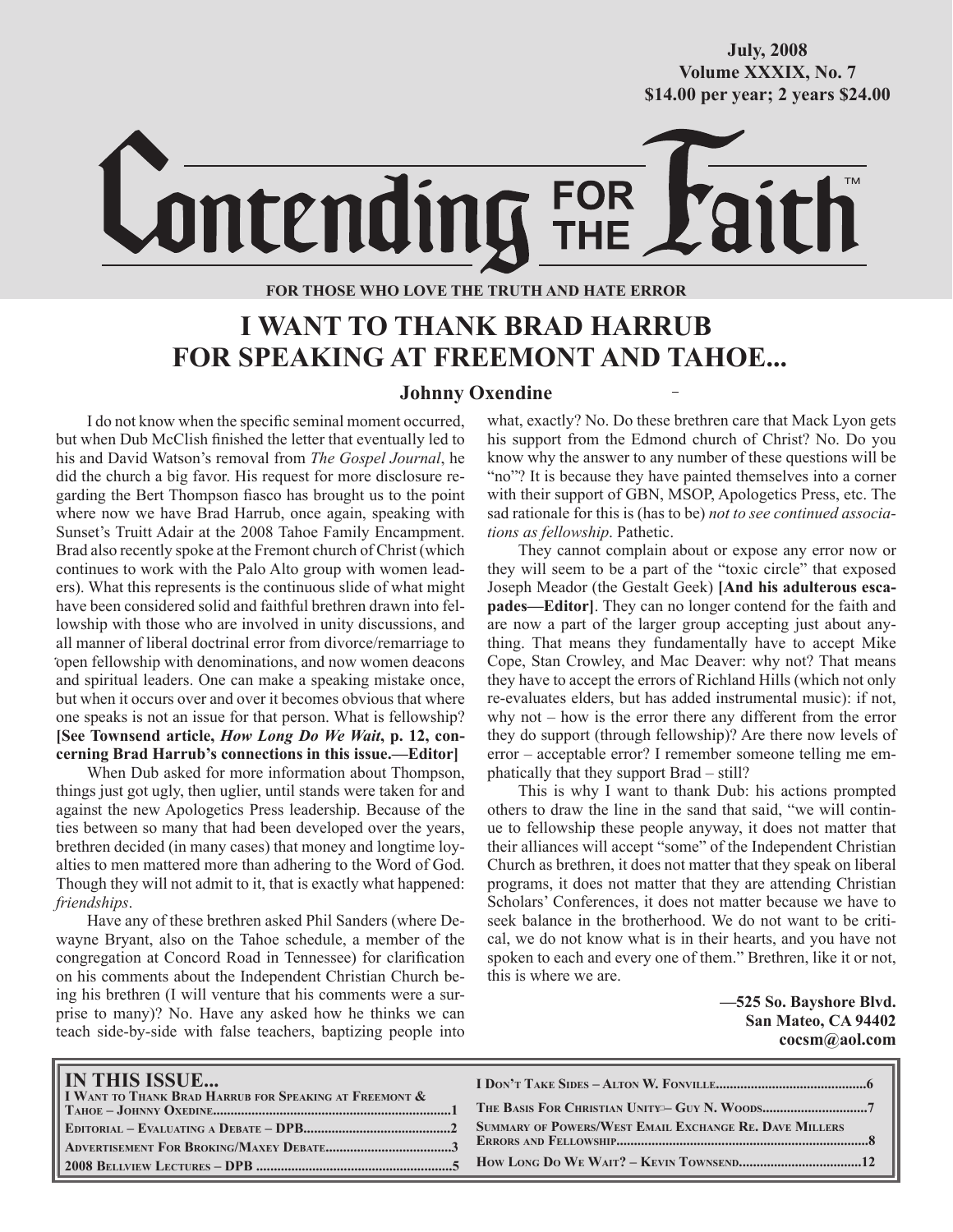## **October/2007 Volume XXXIX, No. 7 Volume XXXVIII, No. 10 \$14.00 per year; 2 years \$24.00 \$14.00 per year; 2 years \$24.00 July, 2008**

# Lontending FOR<br>THF

## **FOR THOSE WHO LOVE THE TRUTH AND HATE ERROR**

## **I WANT TO THANK BRAD HARRUB FOR SPEAKING AT FREEMONT AND TAHOE...**

### **Johnny Oxendine**

I do not know when the specific seminal moment occurred, but when Dub McClish finished the letter that eventually led to his and David Watson's removal from *The Gospel Journal*, he did the church a big favor. His request for more disclosure regarding the Bert Thompson fiasco has brought us to the point where now we have Brad Harrub, once again, speaking with Sunset's Truitt Adair at the 2008 Tahoe Family Encampment. Brad also recently spoke at the Fremont church of Christ (which continues to work with the Palo Alto group with women leaders). What this represents is the continuous slide of what might have been considered solid and faithful brethren drawn into fellowship with those who are involved in unity discussions, and all manner of liberal doctrinal error from divorce/remarriage to open fellowship with denominations, and now women deacons , and spiritual leaders. One can make a speaking mistake once, but when it occurs over and over it becomes obvious that where one speaks is not an issue for that person. What is fellowship? **[See Townsend article,** *How Long Do We Wait***, p. 12, concerning Brad Harrub's connections in this issue.—Editor]**

When Dub asked for more information about Thompson, things just got ugly, then uglier, until stands were taken for and against the new Apologetics Press leadership. Because of the ties between so many that had been developed over the years, brethren decided (in many cases) that money and longtime loyalties to men mattered more than adhering to the Word of God. Though they will not admit to it, that is exactly what happened: *friendships*.

Have any of these brethren asked Phil Sanders (where Dewayne Bryant, also on the Tahoe schedule, a member of the congregation at Concord Road in Tennessee) for clarification on his comments about the Independent Christian Church being his brethren (I will venture that his comments were a surprise to many)? No. Have any asked how he thinks we can teach side-by-side with false teachers, baptizing people into what, exactly? No. Do these brethren care that Mack Lyon gets his support from the Edmond church of Christ? No. Do you know why the answer to any number of these questions will be "no"? It is because they have painted themselves into a corner with their support of GBN, MSOP, Apologetics Press, etc. The sad rationale for this is (has to be) *not to see continued associations as fellowship*. Pathetic.

They cannot complain about or expose any error now or they will seem to be a part of the "toxic circle" that exposed Joseph Meador (the Gestalt Geek) **[And his adulterous escapades—Editor]**. They can no longer contend for the faith and are now a part of the larger group accepting just about anything. That means they fundamentally have to accept Mike Cope, Stan Crowley, and Mac Deaver: why not? That means they have to accept the errors of Richland Hills (which not only re-evaluates elders, but has added instrumental music): if not, why not – how is the error there any different from the error they do support (through fellowship)? Are there now levels of error – acceptable error? I remember someone telling me emphatically that they support Brad – still?

This is why I want to thank Dub: his actions prompted others to draw the line in the sand that said, "we will continue to fellowship these people anyway, it does not matter that their alliances will accept "some" of the Independent Christian Church as brethren, it does not matter that they speak on liberal programs, it does not matter that they are attending Christian Scholars' Conferences, it does not matter because we have to seek balance in the brotherhood. We do not want to be critical, we do not know what is in their hearts, and you have not spoken to each and every one of them." Brethren, like it or not, this is where we are.

> **—525 So. Bayshore Blvd. San Mateo, CA 94402 cocsm@aol.com**

| IN THIS ISSUE<br><b>I I WANT TO THANK BRAD HARRUB FOR SPEAKING AT FREEMONT &amp;</b> |                                                        |
|--------------------------------------------------------------------------------------|--------------------------------------------------------|
|                                                                                      |                                                        |
|                                                                                      | SUMMARY OF POWERS/WEST EMAIL EXCHANGE RE. DAVE MILLERS |
|                                                                                      |                                                        |
|                                                                                      |                                                        |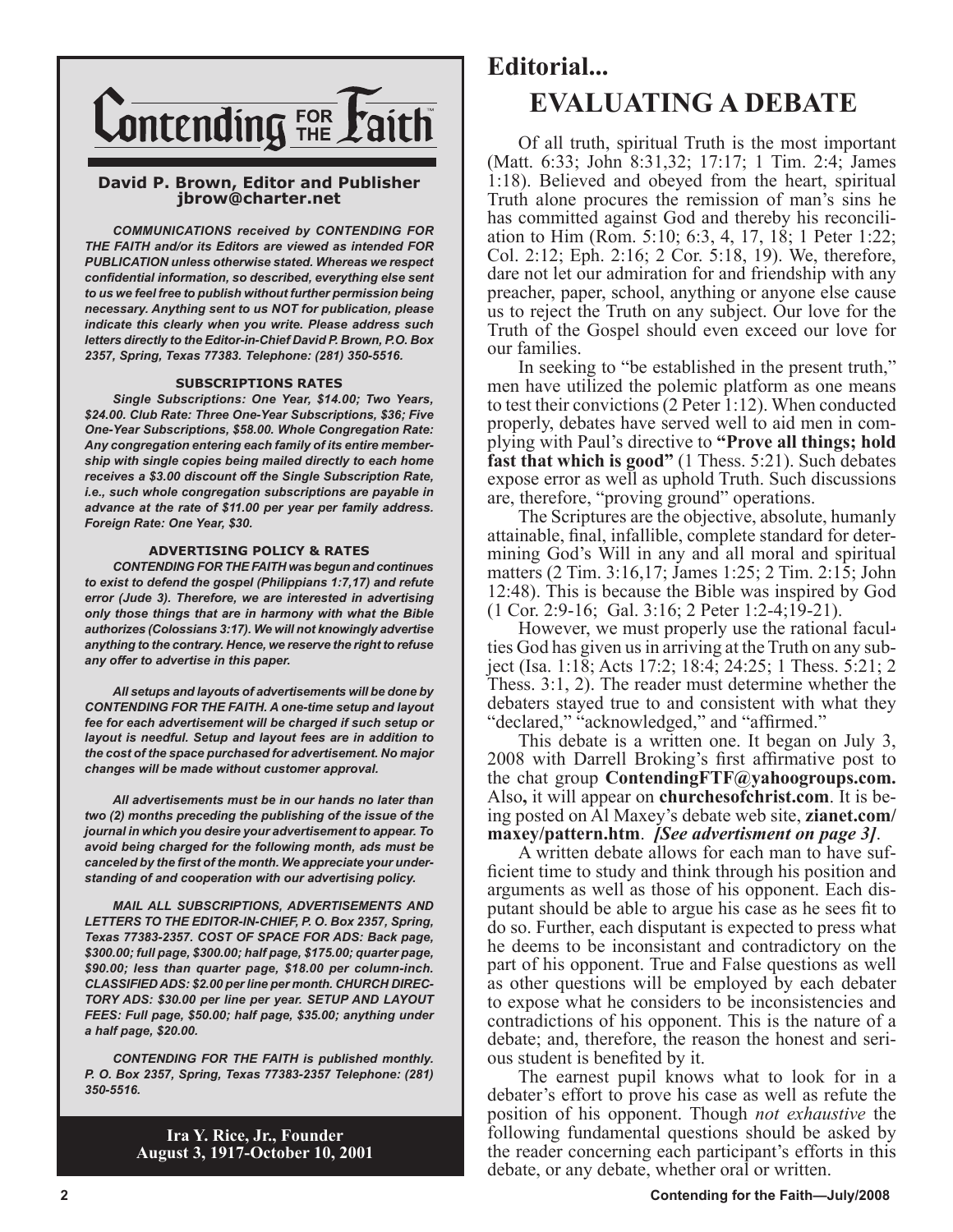

#### **David P. Brown, Editor and Publisher jbrow@charter.net**

*COMMUNICATIONS received by CONTENDING FOR THE FAITH and/or its Editors are viewed as intended FOR PUBLICATION unless otherwise stated. Whereas we respect confidential information, so described, everything else sent to us we feel free to publish without further permission being necessary. Anything sent to us NOT for publication, please indicate this clearly when you write. Please address such letters directly to the Editor-in-Chief David P. Brown, P.O. Box 2357, Spring, Texas 77383. Telephone: (281) 350-5516.*

#### **SUBSCRIPTIONS RATES**

*Single Subscriptions: One Year, \$14.00; Two Years, \$24.00. Club Rate: Three One-Year Subscriptions, \$36; Five One-Year Subscriptions, \$58.00. Whole Congregation Rate: Any congregation entering each family of its entire membership with single copies being mailed directly to each home receives a \$3.00 discount off the Single Subscription Rate, i.e., such whole congregation subscriptions are payable in advance at the rate of \$11.00 per year per family address. Foreign Rate: One Year, \$30.*

#### **ADVERTISING POLICY & RATES**

*CONTENDING FOR THE FAITH was begun and continues to exist to defend the gospel (Philippians 1:7,17) and refute error (Jude 3). Therefore, we are interested in advertising only those things that are in harmony with what the Bible authorizes (Colossians 3:17). We will not knowingly advertise anything to the contrary. Hence, we reserve the right to refuse any offer to advertise in this paper.*

*All setups and layouts of advertisements will be done by CONTENDING FOR THE FAITH. A one-time setup and layout fee for each advertisement will be charged if such setup or layout is needful. Setup and layout fees are in addition to the cost of the space purchased for advertisement. No major changes will be made without customer approval.*

*All advertisements must be in our hands no later than two (2) months preceding the publishing of the issue of the journal in which you desire your advertisement to appear. To avoid being charged for the following month, ads must be canceled by the first of the month. We appreciate your understanding of and cooperation with our advertising policy.*

*MAIL ALL SUBSCRIPTIONS, ADVERTISEMENTS AND LETTERS TO THE EDITOR-IN-CHIEF, P. O. Box 2357, Spring, Texas 77383-2357. COST OF SPACE FOR ADS: Back page, \$300.00; full page, \$300.00; half page, \$175.00; quarter page, \$90.00; less than quarter page, \$18.00 per column-inch. CLASSIFIED ADS: \$2.00 per line per month. CHURCH DIREC-TORY ADS: \$30.00 per line per year. SETUP AND LAYOUT FEES: Full page, \$50.00; half page, \$35.00; anything under a half page, \$20.00.*

*CONTENDING FOR THE FAITH is published monthly. P. O. Box 2357, Spring, Texas 77383-2357 Telephone: (281) 350-5516.*

> **Ira Y. Rice, Jr., Founder August 3, 1917-October 10, 2001**

## **Editorial... EVALUATING A DEBATE**

Of all truth, spiritual Truth is the most important (Matt. 6:33; John 8:31,32; 17:17; 1 Tim. 2:4; James 1:18). Believed and obeyed from the heart, spiritual Truth alone procures the remission of man's sins he has committed against God and thereby his reconciliation to Him (Rom. 5:10; 6:3, 4, 17, 18; 1 Peter 1:22; Col. 2:12; Eph. 2:16; 2 Cor. 5:18, 19). We, therefore, dare not let our admiration for and friendship with any preacher, paper, school, anything or anyone else cause us to reject the Truth on any subject. Our love for the Truth of the Gospel should even exceed our love for our families.

In seeking to "be established in the present truth," men have utilized the polemic platform as one means to test their convictions (2 Peter 1:12). When conducted properly, debates have served well to aid men in complying with Paul's directive to **"Prove all things; hold fast that which is good"** (1 Thess. 5:21). Such debates expose error as well as uphold Truth. Such discussions are, therefore, "proving ground" operations.

The Scriptures are the objective, absolute, humanly attainable, final, infallible, complete standard for determining God's Will in any and all moral and spiritual matters (2 Tim. 3:16,17; James 1:25; 2 Tim. 2:15; John 12:48). This is because the Bible was inspired by God (1 Cor. 2:9-16; Gal. 3:16; 2 Peter 1:2-4;19-21).

However, we must properly use the rational faculties God has given us in arriving at the Truth on any subject (Isa. 1:18; Acts 17:2; 18:4; 24:25; 1 Thess. 5:21; 2 Thess. 3:1, 2). The reader must determine whether the debaters stayed true to and consistent with what they "declared," "acknowledged," and "affirmed."

This debate is a written one. It began on July 3, 2008 with Darrell Broking's first affirmative post to the chat group **ContendingFTF@yahoogroups.com.**  Also**,** it will appear on **churchesofchrist.com**. It is being posted on Al Maxey's debate web site, **zianet.com/ maxey/pattern.htm**. *[See advertisment on page 3]*.

A written debate allows for each man to have sufficient time to study and think through his position and arguments as well as those of his opponent. Each disputant should be able to argue his case as he sees fit to do so. Further, each disputant is expected to press what he deems to be inconsistant and contradictory on the part of his opponent. True and False questions as well as other questions will be employed by each debater to expose what he considers to be inconsistencies and contradictions of his opponent. This is the nature of a debate; and, therefore, the reason the honest and serious student is benefited by it.

The earnest pupil knows what to look for in a debater's effort to prove his case as well as refute the position of his opponent. Though *not exhaustive* the following fundamental questions should be asked by the reader concerning each participant's efforts in this debate, or any debate, whether oral or written.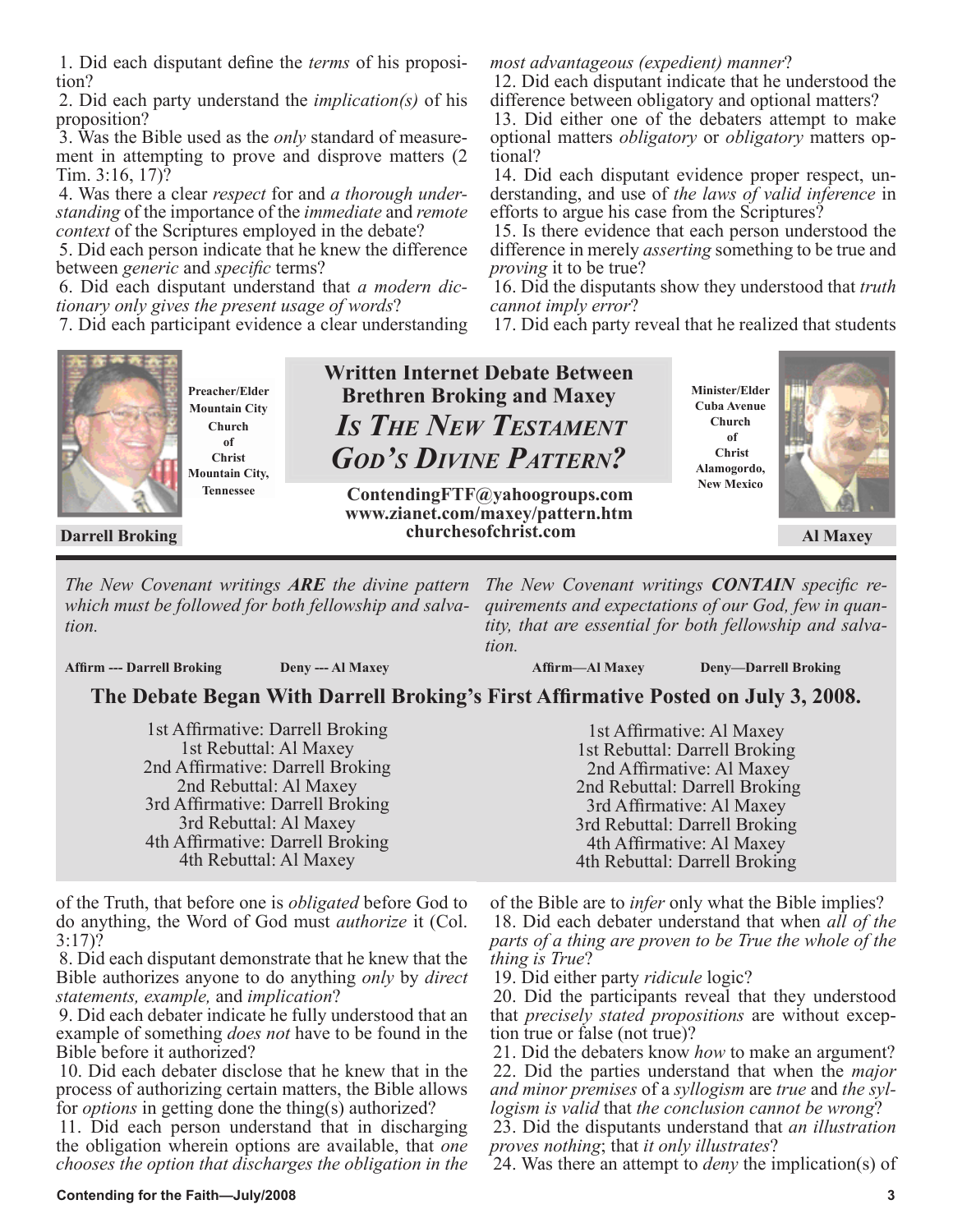1. Did each disputant define the *terms* of his proposition?

2. Did each party understand the *implication(s)* of his proposition?

3. Was the Bible used as the *only* standard of measurement in attempting to prove and disprove matters (2 Tim. 3:16, 17)?

4. Was there a clear *respect* for and *a thorough understanding* of the importance of the *immediate* and *remote context* of the Scriptures employed in the debate?

5. Did each person indicate that he knew the difference between *generic* and *specific* terms?

6. Did each disputant understand that *a modern dictionary only gives the present usage of words*?

7. Did each participant evidence a clear understanding



**Preacher/Elder Mountain City Church of Christ Mountain City, Tennessee**

**Written Internet Debate Between Brethren Broking and Maxey**  *IS THE NEW TESTAMENT GOD'S DIVINE PATTERN?*

tional?

*proving* it to be true?

*cannot imply error*?

 **Darrell Broking Al Maxey churchesofchrist.com ContendingFTF@yahoogroups.com www.zianet.com/maxey/pattern.htm**

**Minister/Elder Cuba Avenue Church of Christ Alamogordo,** 

**New Mexico**



*The New Covenant writings ARE the divine pattern The New Covenant writings CONTAIN specific rewhich must be followed for both fellowship and salvation.*

**Affirm --- Darrell Broking Deny --- Al Maxey**

 **Affirm—Al Maxey Deny—Darrell Broking**

## **The Debate Began With Darrell Broking's First Affirmative Posted on July 3, 2008.**

*tion.*

1st Affirmative: Darrell Broking 1st Rebuttal: Al Maxey 2nd Affirmative: Darrell Broking 2nd Rebuttal: Al Maxey 3rd Affirmative: Darrell Broking 3rd Rebuttal: Al Maxey 4th Affirmative: Darrell Broking 4th Rebuttal: Al Maxey

of the Truth, that before one is *obligated* before God to do anything, the Word of God must *authorize* it (Col. 3:17)?

8. Did each disputant demonstrate that he knew that the Bible authorizes anyone to do anything *only* by *direct statements, example,* and *implication*?

9. Did each debater indicate he fully understood that an example of something *does not* have to be found in the Bible before it authorized?

10. Did each debater disclose that he knew that in the process of authorizing certain matters, the Bible allows for *options* in getting done the thing(s) authorized?

11. Did each person understand that in discharging the obligation wherein options are available, that *one chooses the option that discharges the obligation in the* 

1st Affirmative: Al Maxey 1st Rebuttal: Darrell Broking 2nd Affirmative: Al Maxey 2nd Rebuttal: Darrell Broking 3rd Affirmative: Al Maxey 3rd Rebuttal: Darrell Broking 4th Affirmative: Al Maxey 4th Rebuttal: Darrell Broking

*quirements and expectations of our God, few in quantity, that are essential for both fellowship and salva-*

*most advantageous (expedient) manner*?

efforts to argue his case from the Scriptures?

12. Did each disputant indicate that he understood the difference between obligatory and optional matters? 13. Did either one of the debaters attempt to make optional matters *obligatory* or *obligatory* matters op-

14. Did each disputant evidence proper respect, understanding, and use of *the laws of valid inference* in

15. Is there evidence that each person understood the difference in merely *asserting* something to be true and

16. Did the disputants show they understood that *truth* 

17. Did each party reveal that he realized that students

of the Bible are to *infer* only what the Bible implies? 18. Did each debater understand that when *all of the parts of a thing are proven to be True the whole of the thing is True*?

19. Did either party *ridicule* logic?

20. Did the participants reveal that they understood that *precisely stated propositions* are without exception true or false (not true)?

21. Did the debaters know *how* to make an argument? 22. Did the parties understand that when the *major and minor premises* of a *syllogism* are *true* and *the syl-*

*logism is valid* that *the conclusion cannot be wrong*? 23. Did the disputants understand that *an illustration* 

*proves nothing*; that *it only illustrates*?

24. Was there an attempt to *deny* the implication(s) of

#### **Contending for the Faith—July/2008 3**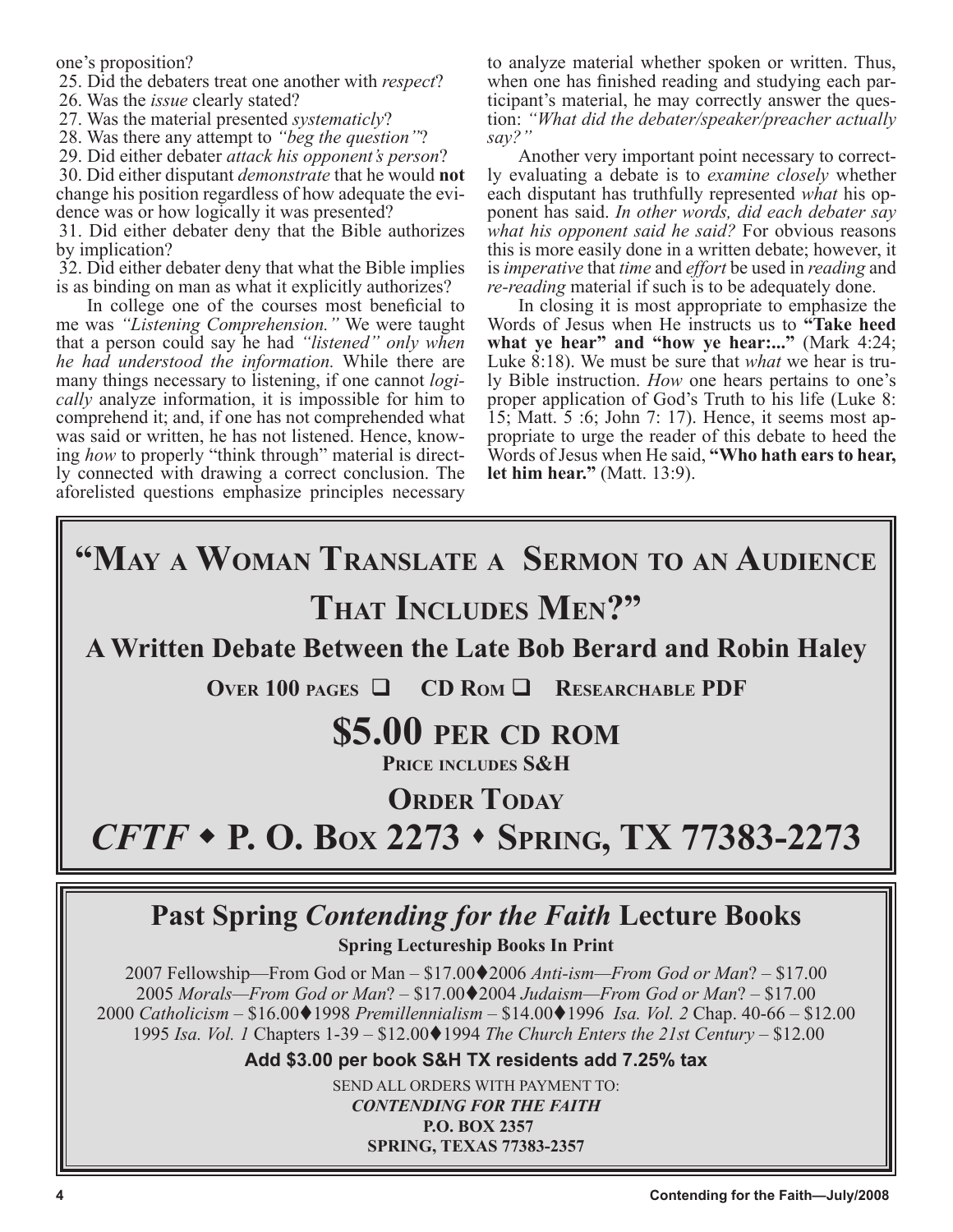one's proposition?

25. Did the debaters treat one another with *respect*?

26. Was the *issue* clearly stated?

27. Was the material presented *systematicly*?

28. Was there any attempt to *"beg the question"*?

29. Did either debater *attack his opponent's person*?

30. Did either disputant *demonstrate* that he would **not** change his position regardless of how adequate the evi- dence was or how logically it was presented?

31. Did either debater deny that the Bible authorizes by implication?

32. Did either debater deny that what the Bible implies is as binding on man as what it explicitly authorizes?

In college one of the courses most beneficial to me was *"Listening Comprehension."* We were taught that a person could say he had *"listened" only when he had understood the information.* While there are many things necessary to listening, if one cannot *logically* analyze information, it is impossible for him to comprehend it; and, if one has not comprehended what was said or written, he has not listened. Hence, knowing *how* to properly "think through" material is directly connected with drawing a correct conclusion. The aforelisted questions emphasize principles necessary

to analyze material whether spoken or written. Thus, when one has finished reading and studying each participant's material, he may correctly answer the question: *"What did the debater/speaker/preacher actually say?"*<br>Another very important point necessary to correct-

ly evaluating a debate is to *examine closely* whether each disputant has truthfully represented *what* his opponent has said. *In other words, did each debater say what his opponent said he said?* For obvious reasons this is more easily done in a written debate; however, it is *imperative* that *time* and *effort* be used in *reading* and *re-reading* material if such is to be adequately done.

In closing it is most appropriate to emphasize the Words of Jesus when He instructs us to **"Take heed**  what ye hear" and "how ye hear:..." (Mark 4:24;<br>Luke 8:18). We must be sure that *what* we hear is truly Bible instruction. *How* one hears pertains to one's proper application of God's Truth to his life (Luke 8: 15; Matt. 5 :6; John 7: 17). Hence, it seems most appropriate to urge the reader of this debate to heed the Words of Jesus when He said, **"Who hath ears to hear, let him hear."** (Matt. 13:9).

# **"MAY A WOMAN TRANSLATE A SERMON TO AN AUDIENCE THAT INCLUDES MEN?"**

## **A Written Debate Between the Late Bob Berard and Robin Haley**

**OVER 100 PAGES**  $\Box$  **CD ROM**  $\Box$  **RESEARCHABLE PDF** 

## **\$5.00 PER CD ROM**

**PRICE INCLUDES S&H**

**ORDER TODAY**

*CFTF*  **P. O. BOX 2273 SPRING, TX 77383-2273**

## **Past Spring** *Contending for the Faith* **Lecture Books**

**Spring Lectureship Books In Print**

2007 Fellowship—From God or Man – \$17.002006 *Anti-ism—From God or Man*? – \$17.00 *Morals—From God or Man*? – \$17.002004 *Judaism—From God or Man*? – \$17.00 *Catholicism –* \$16.001998 *Premillennialism –* \$14.001996 *Isa. Vol. 2* Chap. 40-66 – \$12.00 *Isa. Vol.* 1 Chapters 1-39 − \$12.00♦1994 *The Church Enters the 21st Century* − \$12.00

**Add \$3.00 per book S&H TX residents add 7.25% tax**

SEND ALL ORDERS WITH PAYMENT TO: *CONTENDING FOR THE FAITH* **P.O. BOX 2357 SPRING, TEXAS 77383-2357**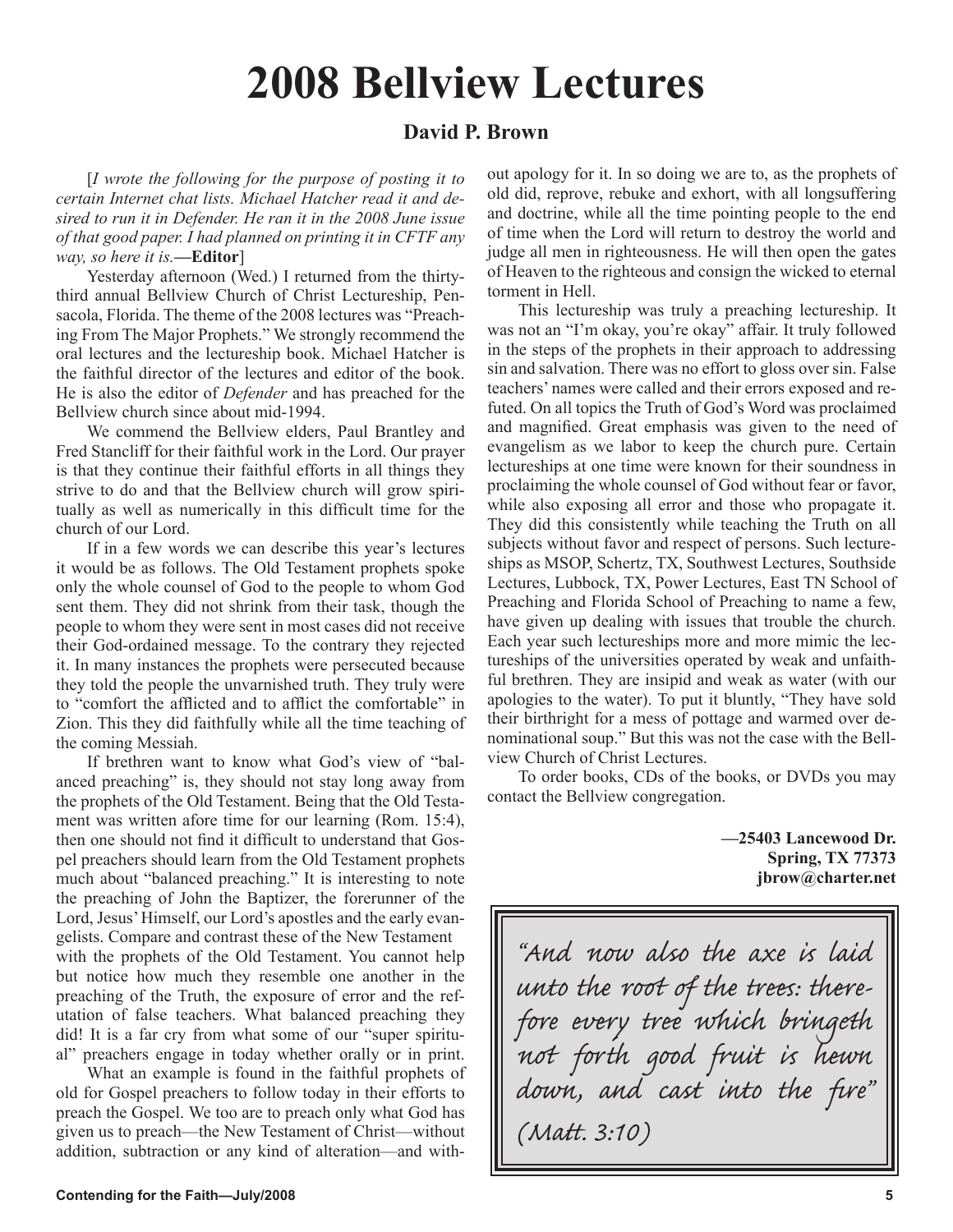# **2008 Bellview Lectures**

## **David P. Brown**

[*I wrote the following for the purpose of posting it to certain Internet chat lists. Michael Hatcher read it and desired to run it in Defender. He ran it in the 2008 June issue of that good paper. I had planned on printing it in CFTF any way, so here it is.***—Editor**]

Yesterday afternoon (Wed.) I returned from the thirtythird annual Bellview Church of Christ Lectureship, Pensacola, Florida. The theme of the 2008 lectures was "Preaching From The Major Prophets." We strongly recommend the oral lectures and the lectureship book. Michael Hatcher is the faithful director of the lectures and editor of the book. He is also the editor of *Defender* and has preached for the Bellview church since about mid-1994.

We commend the Bellview elders, Paul Brantley and Fred Stancliff for their faithful work in the Lord. Our prayer is that they continue their faithful efforts in all things they strive to do and that the Bellview church will grow spiritually as well as numerically in this difficult time for the church of our Lord.

If in a few words we can describe this year's lectures it would be as follows. The Old Testament prophets spoke only the whole counsel of God to the people to whom God sent them. They did not shrink from their task, though the people to whom they were sent in most cases did not receive their God-ordained message. To the contrary they rejected it. In many instances the prophets were persecuted because they told the people the unvarnished truth. They truly were to "comfort the afflicted and to afflict the comfortable" in Zion. This they did faithfully while all the time teaching of the coming Messiah.

If brethren want to know what God's view of "balanced preaching" is, they should not stay long away from the prophets of the Old Testament. Being that the Old Testament was written afore time for our learning (Rom. 15:4), then one should not find it difficult to understand that Gospel preachers should learn from the Old Testament prophets much about "balanced preaching." It is interesting to note the preaching of John the Baptizer, the forerunner of the Lord, Jesus' Himself, our Lord's apostles and the early evangelists. Compare and contrast these of the New Testament with the prophets of the Old Testament. You cannot help but notice how much they resemble one another in the preaching of the Truth, the exposure of error and the refutation of false teachers. What balanced preaching they did! It is a far cry from what some of our "super spiritual" preachers engage in today whether orally or in print.

What an example is found in the faithful prophets of old for Gospel preachers to follow today in their efforts to preach the Gospel. We too are to preach only what God has given us to preach—the New Testament of Christ—without addition, subtraction or any kind of alteration—and without apology for it. In so doing we are to, as the prophets of old did, reprove, rebuke and exhort, with all longsuffering and doctrine, while all the time pointing people to the end of time when the Lord will return to destroy the world and judge all men in righteousness. He will then open the gates of Heaven to the righteous and consign the wicked to eternal torment in Hell.

This lectureship was truly a preaching lectureship. It was not an "I'm okay, you're okay" affair. It truly followed in the steps of the prophets in their approach to addressing sin and salvation. There was no effort to gloss over sin. False teachers' names were called and their errors exposed and refuted. On all topics the Truth of God's Word was proclaimed and magnified. Great emphasis was given to the need of evangelism as we labor to keep the church pure. Certain lectureships at one time were known for their soundness in proclaiming the whole counsel of God without fear or favor, while also exposing all error and those who propagate it. They did this consistently while teaching the Truth on all subjects without favor and respect of persons. Such lectureships as MSOP, Schertz, TX, Southwest Lectures, Southside Lectures, Lubbock, TX, Power Lectures, East TN School of Preaching and Florida School of Preaching to name a few, have given up dealing with issues that trouble the church. Each year such lectureships more and more mimic the lectureships of the universities operated by weak and unfaithful brethren. They are insipid and weak as water (with our apologies to the water). To put it bluntly, "They have sold their birthright for a mess of pottage and warmed over denominational soup." But this was not the case with the Bellview Church of Christ Lectures.

To order books, CDs of the books, or DVDs you may contact the Bellview congregation.

> **—25403 Lancewood Dr. Spring, TX 77373 jbrow@charter.net**

"And now also the axe is laid unto the root of the trees: there-<br>fore every tree which bringeth not forth good fruit is hewn down, and cast into the fire" (Matt. 3:10)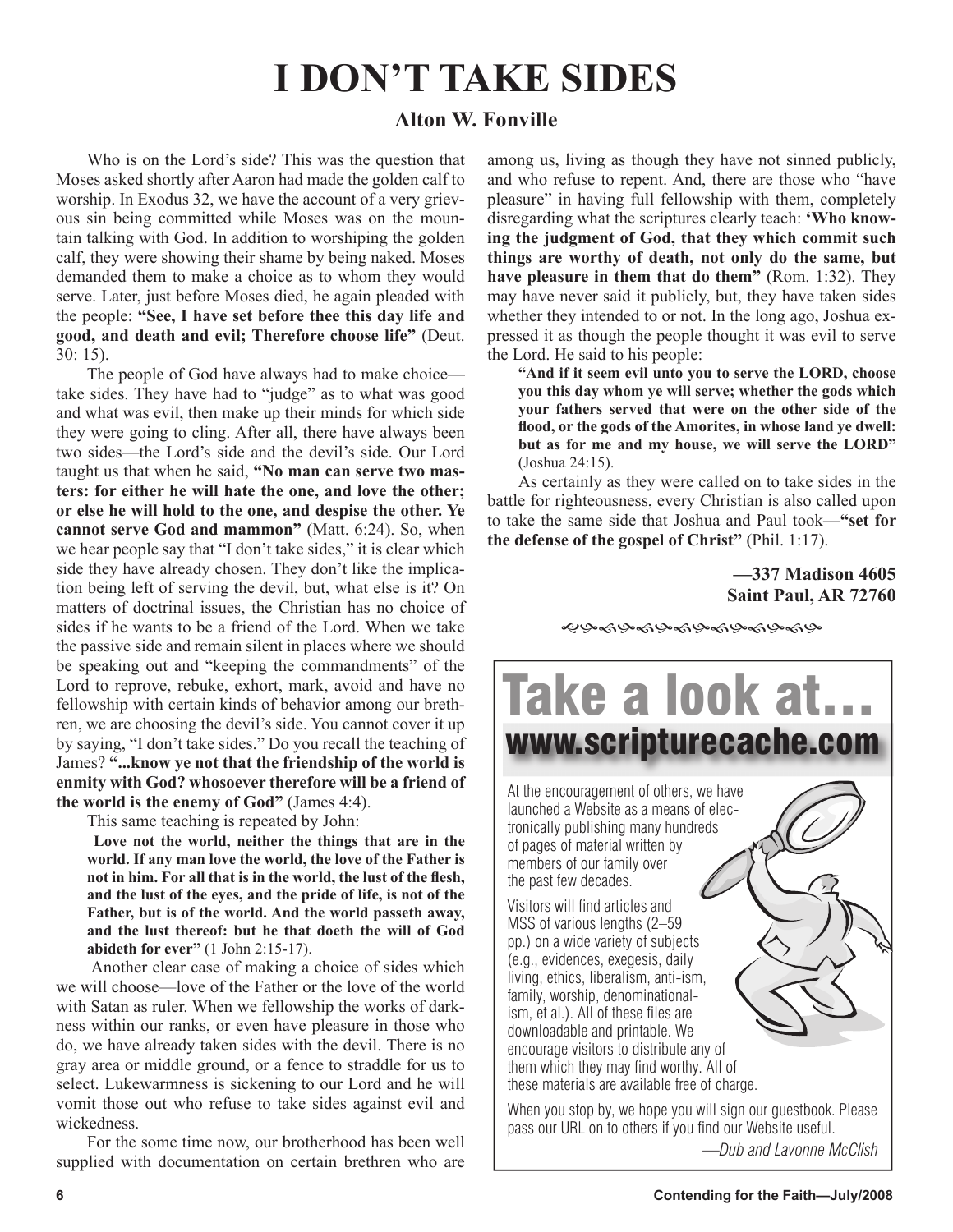# **I DON'T TAKE SIDES**

## **Alton W. Fonville**

Who is on the Lord's side? This was the question that Moses asked shortly after Aaron had made the golden calf to worship. In Exodus 32, we have the account of a very grievous sin being committed while Moses was on the mountain talking with God. In addition to worshiping the golden calf, they were showing their shame by being naked. Moses demanded them to make a choice as to whom they would serve. Later, just before Moses died, he again pleaded with the people: **"See, I have set before thee this day life and good, and death and evil; Therefore choose life"** (Deut. 30: 15).

The people of God have always had to make choice take sides. They have had to "judge" as to what was good and what was evil, then make up their minds for which side they were going to cling. After all, there have always been two sides—the Lord's side and the devil's side. Our Lord taught us that when he said, **"No man can serve two masters: for either he will hate the one, and love the other; or else he will hold to the one, and despise the other. Ye cannot serve God and mammon"** (Matt. 6:24). So, when we hear people say that "I don't take sides," it is clear which side they have already chosen. They don't like the implication being left of serving the devil, but, what else is it? On matters of doctrinal issues, the Christian has no choice of sides if he wants to be a friend of the Lord. When we take the passive side and remain silent in places where we should be speaking out and "keeping the commandments" of the Lord to reprove, rebuke, exhort, mark, avoid and have no fellowship with certain kinds of behavior among our brethren, we are choosing the devil's side. You cannot cover it up by saying, "I don't take sides." Do you recall the teaching of James? **"...know ye not that the friendship of the world is enmity with God? whosoever therefore will be a friend of the world is the enemy of God"** (James 4:4).

This same teaching is repeated by John:

**Love not the world, neither the things that are in the world. If any man love the world, the love of the Father is not in him. For all that is in the world, the lust of the flesh, and the lust of the eyes, and the pride of life, is not of the Father, but is of the world. And the world passeth away, and the lust thereof: but he that doeth the will of God abideth for ever"** (1 John 2:15-17).

 Another clear case of making a choice of sides which we will choose—love of the Father or the love of the world with Satan as ruler. When we fellowship the works of darkness within our ranks, or even have pleasure in those who do, we have already taken sides with the devil. There is no gray area or middle ground, or a fence to straddle for us to select. Lukewarmness is sickening to our Lord and he will vomit those out who refuse to take sides against evil and wickedness.

For the some time now, our brotherhood has been well supplied with documentation on certain brethren who are among us, living as though they have not sinned publicly, and who refuse to repent. And, there are those who "have pleasure" in having full fellowship with them, completely disregarding what the scriptures clearly teach: **'Who knowing the judgment of God, that they which commit such things are worthy of death, not only do the same, but have pleasure in them that do them"** (Rom. 1:32). They may have never said it publicly, but, they have taken sides whether they intended to or not. In the long ago, Joshua expressed it as though the people thought it was evil to serve the Lord. He said to his people:

**"And if it seem evil unto you to serve the LORD, choose you this day whom ye will serve; whether the gods which your fathers served that were on the other side of the flood, or the gods of the Amorites, in whose land ye dwell: but as for me and my house, we will serve the LORD"** (Joshua 24:15).

As certainly as they were called on to take sides in the battle for righteousness, every Christian is also called upon to take the same side that Joshua and Paul took—**"set for the defense of the gospel of Christ"** (Phil. 1:17).

## **—337 Madison 4605 Saint Paul, AR 72760**

**֎֍֎֍֎֍֎֍֎֍֎֍֎** 



*—Dub and Lavonne McClish*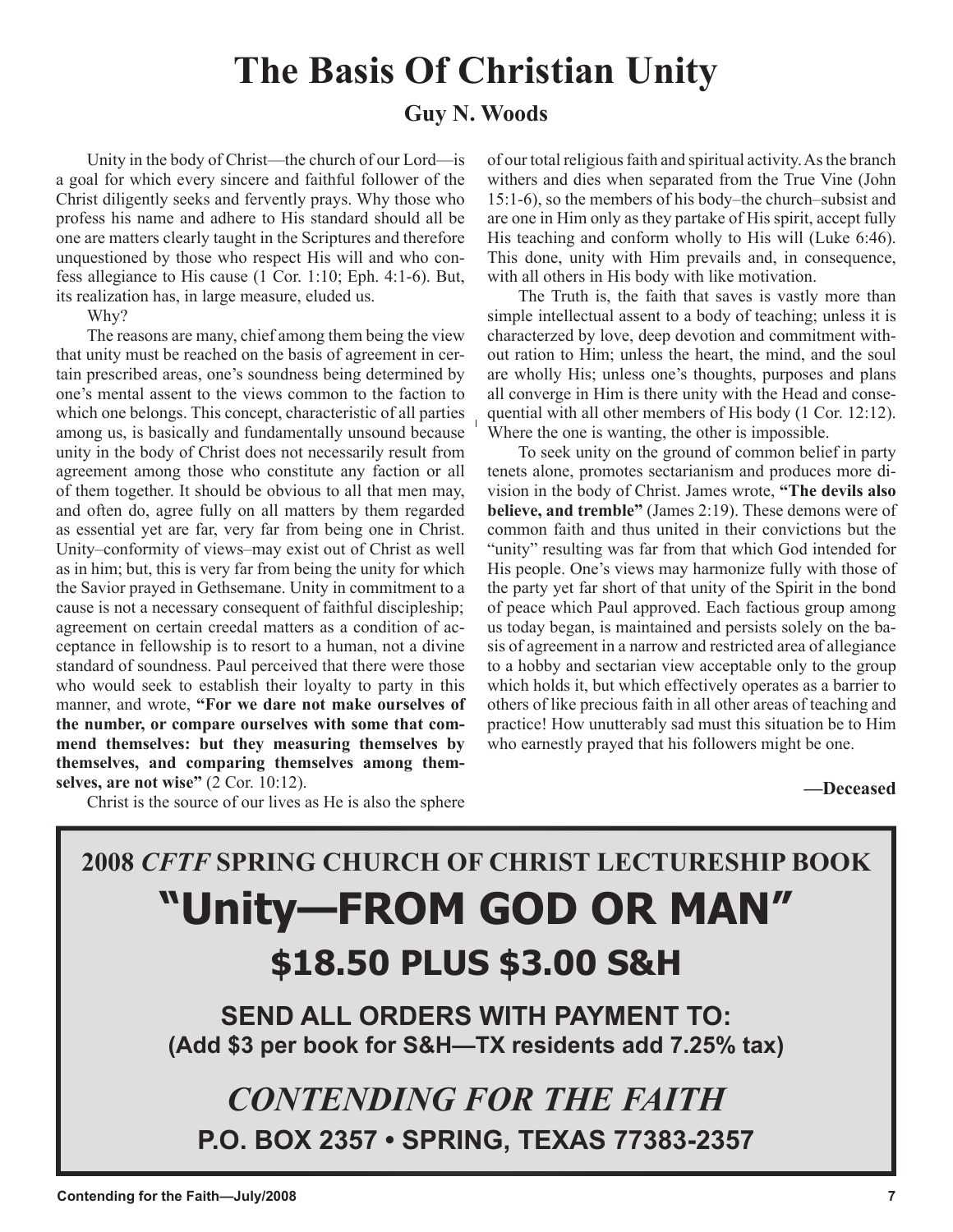# **The Basis Of Christian Unity**

## **Guy N. Woods**

Unity in the body of Christ—the church of our Lord—is a goal for which every sincere and faithful follower of the Christ diligently seeks and fervently prays. Why those who profess his name and adhere to His standard should all be one are matters clearly taught in the Scriptures and therefore unquestioned by those who respect His will and who confess allegiance to His cause (1 Cor. 1:10; Eph. 4:1-6). But, its realization has, in large measure, eluded us.

Why?

The reasons are many, chief among them being the view that unity must be reached on the basis of agreement in certain prescribed areas, one's soundness being determined by one's mental assent to the views common to the faction to which one belongs. This concept, characteristic of all parties among us, is basically and fundamentally unsound because unity in the body of Christ does not necessarily result from agreement among those who constitute any faction or all of them together. It should be obvious to all that men may, and often do, agree fully on all matters by them regarded as essential yet are far, very far from being one in Christ. Unity–conformity of views–may exist out of Christ as well as in him; but, this is very far from being the unity for which the Savior prayed in Gethsemane. Unity in commitment to a cause is not a necessary consequent of faithful discipleship; agreement on certain creedal matters as a condition of acceptance in fellowship is to resort to a human, not a divine standard of soundness. Paul perceived that there were those who would seek to establish their loyalty to party in this manner, and wrote, **"For we dare not make ourselves of the number, or compare ourselves with some that commend themselves: but they measuring themselves by themselves, and comparing themselves among themselves, are not wise"** (2 Cor. 10:12).

Christ is the source of our lives as He is also the sphere

of our total religious faith and spiritual activity. As the branch withers and dies when separated from the True Vine (John 15:1-6), so the members of his body–the church–subsist and are one in Him only as they partake of His spirit, accept fully His teaching and conform wholly to His will (Luke 6:46). This done, unity with Him prevails and, in consequence, with all others in His body with like motivation.

The Truth is, the faith that saves is vastly more than simple intellectual assent to a body of teaching; unless it is characterzed by love, deep devotion and commitment without ration to Him; unless the heart, the mind, and the soul are wholly His; unless one's thoughts, purposes and plans all converge in Him is there unity with the Head and consequential with all other members of His body (1 Cor. 12:12). Where the one is wanting, the other is impossible.

To seek unity on the ground of common belief in party tenets alone, promotes sectarianism and produces more division in the body of Christ. James wrote, **"The devils also believe, and tremble"** (James 2:19). These demons were of common faith and thus united in their convictions but the "unity" resulting was far from that which God intended for His people. One's views may harmonize fully with those of the party yet far short of that unity of the Spirit in the bond of peace which Paul approved. Each factious group among us today began, is maintained and persists solely on the basis of agreement in a narrow and restricted area of allegiance to a hobby and sectarian view acceptable only to the group which holds it, but which effectively operates as a barrier to others of like precious faith in all other areas of teaching and practice! How unutterably sad must this situation be to Him who earnestly prayed that his followers might be one.

**—Deceased**

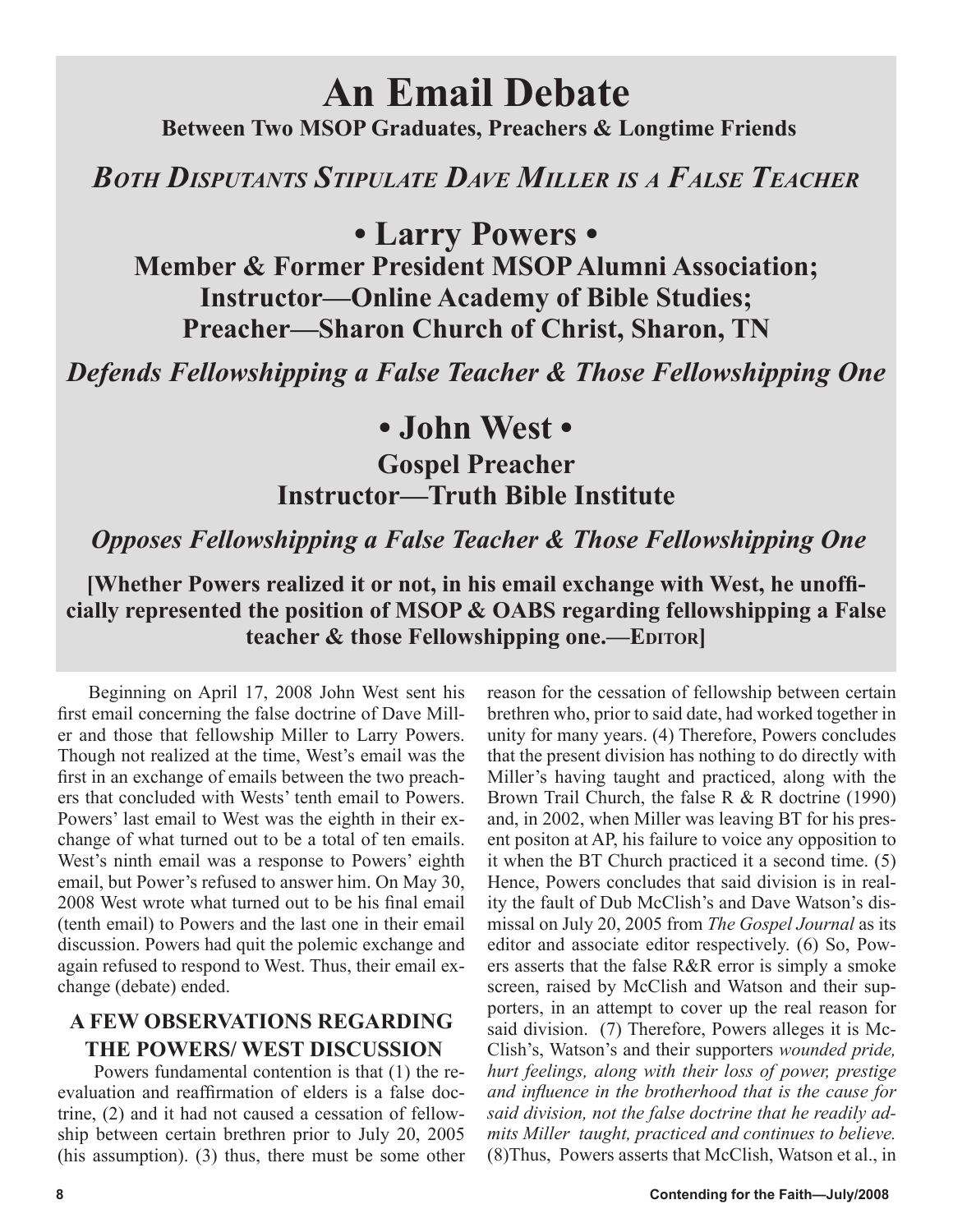# **An Email Debate**

 **Between Two MSOP Graduates, Preachers & Longtime Friends**

*BOTH DISPUTANTS STIPULATE DAVE MILLER IS A FALSE TEACHER*

**• Larry Powers •**

**Member & Former President MSOP Alumni Association; Instructor—Online Academy of Bible Studies; Preacher—Sharon Church of Christ, Sharon, TN**

*Defends Fellowshipping a False Teacher & Those Fellowshipping One*

## **• John West •**

## **Gospel Preacher Instructor—Truth Bible Institute**

## *Opposes Fellowshipping a False Teacher & Those Fellowshipping One*

**[Whether Powers realized it or not, in his email exchange with West, he unofficially represented the position of MSOP & OABS regarding fellowshipping a False teacher & those Fellowshipping one.—EDITOR]** 

Beginning on April 17, 2008 John West sent his first email concerning the false doctrine of Dave Miller and those that fellowship Miller to Larry Powers. Though not realized at the time, West's email was the first in an exchange of emails between the two preachers that concluded with Wests' tenth email to Powers. Powers' last email to West was the eighth in their exchange of what turned out to be a total of ten emails. West's ninth email was a response to Powers' eighth email, but Power's refused to answer him. On May 30, 2008 West wrote what turned out to be his final email (tenth email) to Powers and the last one in their email discussion. Powers had quit the polemic exchange and again refused to respond to West. Thus, their email exchange (debate) ended.

## **A FEW OBSERVATIONS REGARDING THE POWERS/ WEST DISCUSSION**

 Powers fundamental contention is that (1) the reevaluation and reaffirmation of elders is a false doctrine, (2) and it had not caused a cessation of fellowship between certain brethren prior to July 20, 2005 (his assumption). (3) thus, there must be some other reason for the cessation of fellowship between certain brethren who, prior to said date, had worked together in unity for many years. (4) Therefore, Powers concludes that the present division has nothing to do directly with Miller's having taught and practiced, along with the Brown Trail Church, the false R & R doctrine (1990) and, in 2002, when Miller was leaving BT for his present positon at AP, his failure to voice any opposition to it when the BT Church practiced it a second time. (5) Hence, Powers concludes that said division is in reality the fault of Dub McClish's and Dave Watson's dismissal on July 20, 2005 from *The Gospel Journal* as its editor and associate editor respectively. (6) So, Powers asserts that the false R&R error is simply a smoke screen, raised by McClish and Watson and their supporters, in an attempt to cover up the real reason for said division. (7) Therefore, Powers alleges it is Mc-Clish's, Watson's and their supporters *wounded pride, hurt feelings, along with their loss of power, prestige and influence in the brotherhood that is the cause for said division, not the false doctrine that he readily admits Miller taught, practiced and continues to believe.* (8)Thus, Powers asserts that McClish, Watson et al., in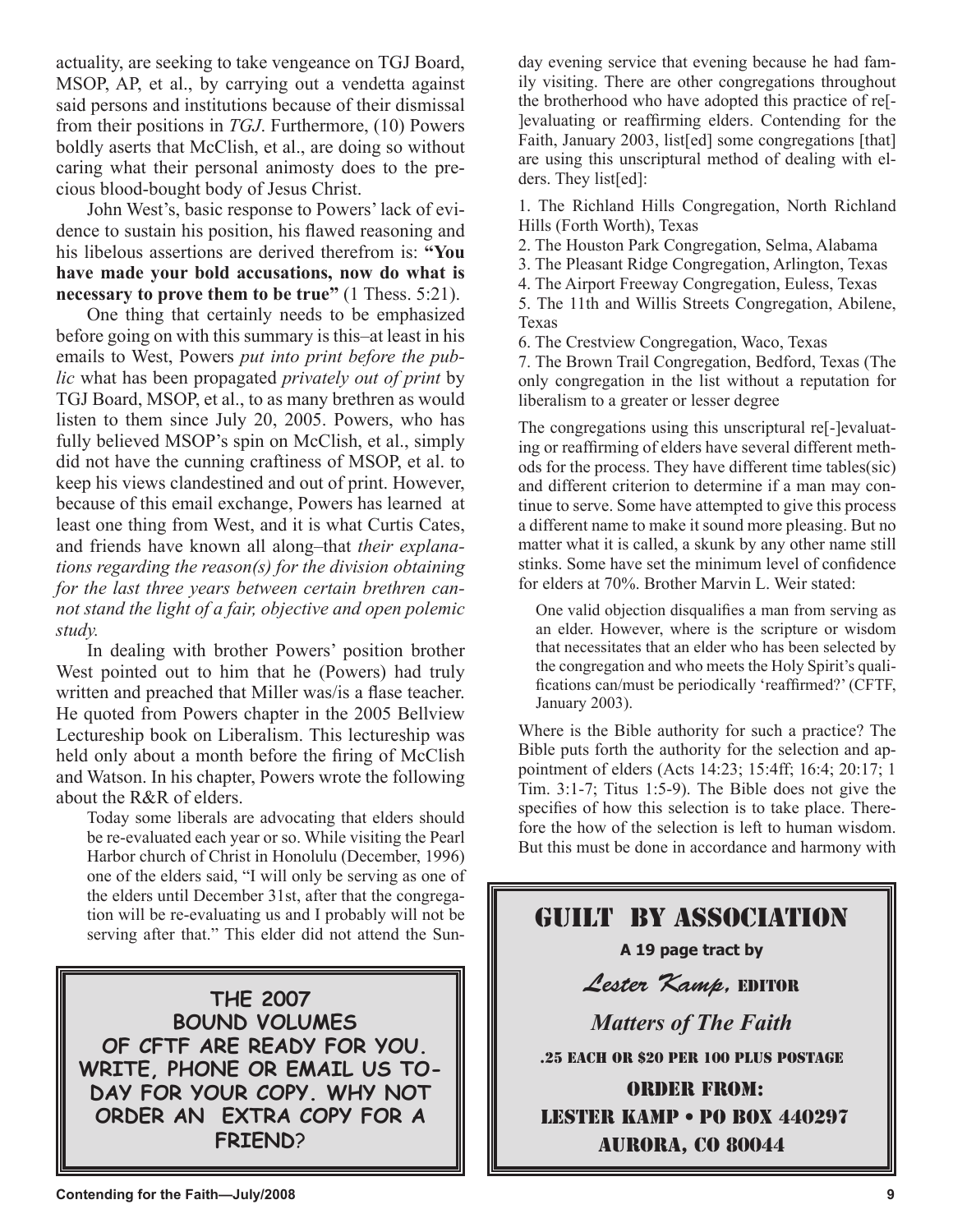actuality, are seeking to take vengeance on TGJ Board, MSOP, AP, et al., by carrying out a vendetta against said persons and institutions because of their dismissal from their positions in *TGJ*. Furthermore, (10) Powers boldly aserts that McClish, et al., are doing so without caring what their personal animosty does to the precious blood-bought body of Jesus Christ.

John West's, basic response to Powers' lack of evidence to sustain his position, his flawed reasoning and his libelous assertions are derived therefrom is: **"You have made your bold accusations, now do what is necessary to prove them to be true"** (1 Thess. 5:21).

One thing that certainly needs to be emphasized before going on with this summary is this–at least in his emails to West, Powers *put into print before the public* what has been propagated *privately out of print* by TGJ Board, MSOP, et al., to as many brethren as would listen to them since July 20, 2005. Powers, who has fully believed MSOP's spin on McClish, et al., simply did not have the cunning craftiness of MSOP, et al. to keep his views clandestined and out of print. However, because of this email exchange, Powers has learned at least one thing from West, and it is what Curtis Cates, and friends have known all along–that *their explanations regarding the reason(s) for the division obtaining for the last three years between certain brethren cannot stand the light of a fair, objective and open polemic study.*

In dealing with brother Powers' position brother West pointed out to him that he (Powers) had truly written and preached that Miller was/is a flase teacher. He quoted from Powers chapter in the 2005 Bellview Lectureship book on Liberalism. This lectureship was held only about a month before the firing of McClish and Watson. In his chapter, Powers wrote the following about the R&R of elders.

Today some liberals are advocating that elders should be re-evaluated each year or so. While visiting the Pearl Harbor church of Christ in Honolulu (December, 1996) one of the elders said, "I will only be serving as one of the elders until December 31st, after that the congregation will be re-evaluating us and I probably will not be serving after that." This elder did not attend the Sun-

**THE 2007 BOUND VOLUMES OF CFTF ARE READY FOR YOU. WRITE, PHONE OR EMAIL US TO-DAY FOR YOUR COPY. WHY NOT ORDER AN EXTRA COPY FOR A FRIEND**?

day evening service that evening because he had family visiting. There are other congregations throughout the brotherhood who have adopted this practice of re[- ]evaluating or reaffirming elders. Contending for the Faith, January 2003, list[ed] some congregations [that] are using this unscriptural method of dealing with elders. They list[ed]:

1. The Richland Hills Congregation, North Richland Hills (Forth Worth), Texas

2. The Houston Park Congregation, Selma, Alabama

3. The Pleasant Ridge Congregation, Arlington, Texas

4. The Airport Freeway Congregation, Euless, Texas

5. The 11th and Willis Streets Congregation, Abilene, Texas

6. The Crestview Congregation, Waco, Texas

7. The Brown Trail Congregation, Bedford, Texas (The only congregation in the list without a reputation for liberalism to a greater or lesser degree

The congregations using this unscriptural re[-]evaluating or reaffirming of elders have several different methods for the process. They have different time tables(sic) and different criterion to determine if a man may continue to serve. Some have attempted to give this process a different name to make it sound more pleasing. But no matter what it is called, a skunk by any other name still stinks. Some have set the minimum level of confidence for elders at 70%. Brother Marvin L. Weir stated:

One valid objection disqualifies a man from serving as an elder. However, where is the scripture or wisdom that necessitates that an elder who has been selected by the congregation and who meets the Holy Spirit's qualifications can/must be periodically 'reaffirmed?' (CFTF, January 2003).

Where is the Bible authority for such a practice? The Bible puts forth the authority for the selection and appointment of elders (Acts 14:23; 15:4ff; 16:4; 20:17; 1 Tim. 3:1-7; Titus 1:5-9). The Bible does not give the specifies of how this selection is to take place. Therefore the how of the selection is left to human wisdom. But this must be done in accordance and harmony with

## Guilt By Association **A 19 page tract by**  Lester Kamp, EDITOR *Matters of The Faith* .25 EACH OR \$20 PER 100 PLUS POSTAGE Order from: Lester Kamp • PO Box 440297 aurora, co 80044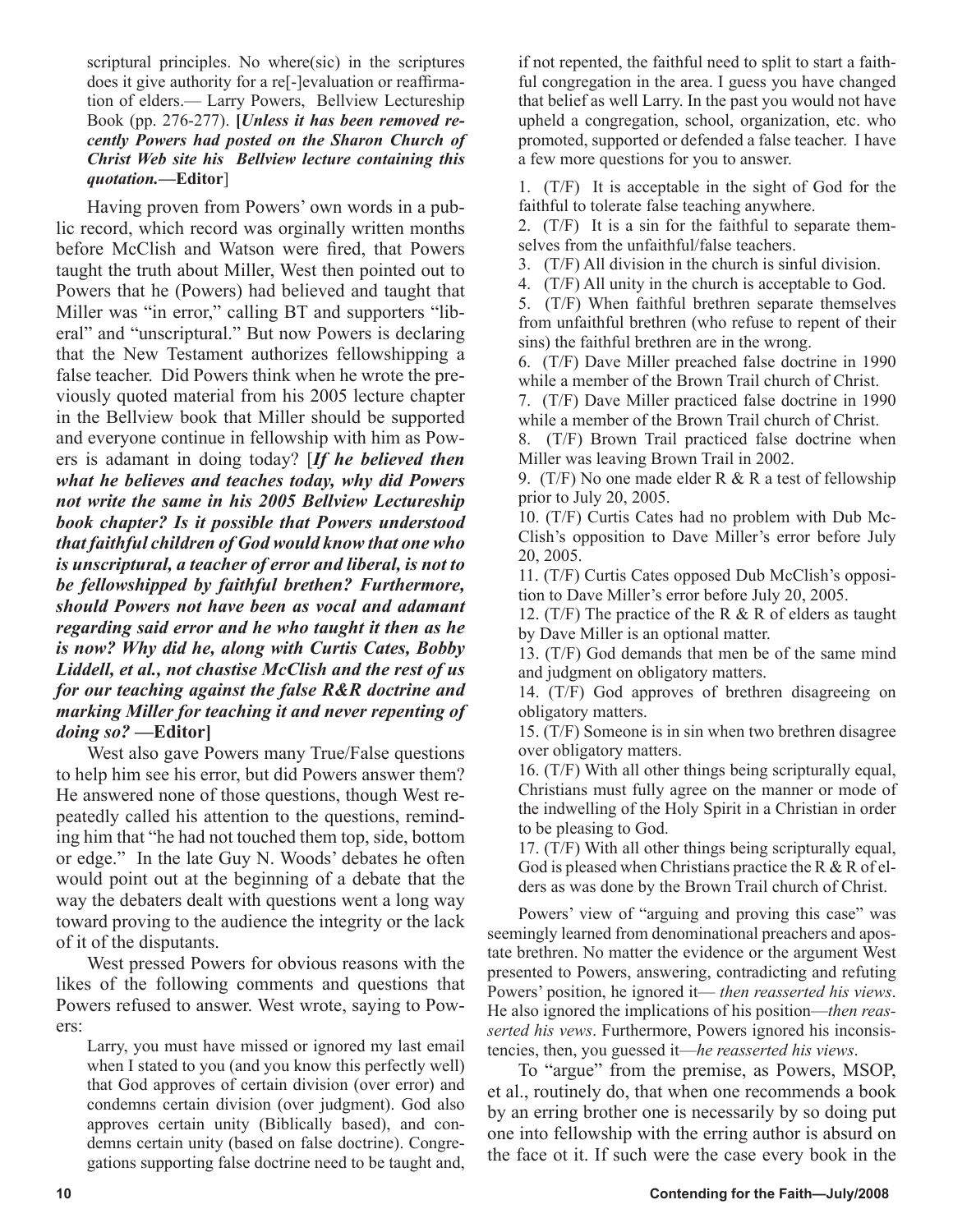scriptural principles. No where(sic) in the scriptures does it give authority for a re[-]evaluation or reaffirmation of elders.— Larry Powers, Bellview Lectureship Book (pp. 276-277). **[***Unless it has been removed recently Powers had posted on the Sharon Church of Christ Web site his Bellview lecture containing this quotation.***—Editor**]

Having proven from Powers' own words in a public record, which record was orginally written months before McClish and Watson were fired, that Powers taught the truth about Miller, West then pointed out to Powers that he (Powers) had believed and taught that Miller was "in error," calling BT and supporters "liberal" and "unscriptural." But now Powers is declaring that the New Testament authorizes fellowshipping a false teacher. Did Powers think when he wrote the previously quoted material from his 2005 lecture chapter in the Bellview book that Miller should be supported and everyone continue in fellowship with him as Powers is adamant in doing today? [*If he believed then what he believes and teaches today, why did Powers not write the same in his 2005 Bellview Lectureship book chapter? Is it possible that Powers understood that faithful children of God would know that one who is unscriptural, a teacher of error and liberal, is not to be fellowshipped by faithful brethen? Furthermore, should Powers not have been as vocal and adamant regarding said error and he who taught it then as he is now? Why did he, along with Curtis Cates, Bobby Liddell, et al., not chastise McClish and the rest of us for our teaching against the false R&R doctrine and marking Miller for teaching it and never repenting of doing so?* **—Editor]**

West also gave Powers many True/False questions to help him see his error, but did Powers answer them? He answered none of those questions, though West repeatedly called his attention to the questions, reminding him that "he had not touched them top, side, bottom or edge." In the late Guy N. Woods' debates he often would point out at the beginning of a debate that the way the debaters dealt with questions went a long way toward proving to the audience the integrity or the lack of it of the disputants.

West pressed Powers for obvious reasons with the likes of the following comments and questions that Powers refused to answer. West wrote, saying to Powers:

Larry, you must have missed or ignored my last email when I stated to you (and you know this perfectly well) that God approves of certain division (over error) and condemns certain division (over judgment). God also approves certain unity (Biblically based), and condemns certain unity (based on false doctrine). Congregations supporting false doctrine need to be taught and, if not repented, the faithful need to split to start a faithful congregation in the area. I guess you have changed that belief as well Larry. In the past you would not have upheld a congregation, school, organization, etc. who promoted, supported or defended a false teacher. I have a few more questions for you to answer.

1. (T/F) It is acceptable in the sight of God for the faithful to tolerate false teaching anywhere.

2. (T/F) It is a sin for the faithful to separate themselves from the unfaithful/false teachers.

3. (T/F) All division in the church is sinful division.

4. (T/F) All unity in the church is acceptable to God.

5. (T/F) When faithful brethren separate themselves from unfaithful brethren (who refuse to repent of their sins) the faithful brethren are in the wrong.

6. (T/F) Dave Miller preached false doctrine in 1990 while a member of the Brown Trail church of Christ.

7. (T/F) Dave Miller practiced false doctrine in 1990 while a member of the Brown Trail church of Christ.

8. (T/F) Brown Trail practiced false doctrine when Miller was leaving Brown Trail in 2002.

9. (T/F) No one made elder R & R a test of fellowship prior to July 20, 2005.

10. (T/F) Curtis Cates had no problem with Dub Mc-Clish's opposition to Dave Miller's error before July 20, 2005.

11. (T/F) Curtis Cates opposed Dub McClish's opposition to Dave Miller's error before July 20, 2005.

12. (T/F) The practice of the R  $&$  R of elders as taught by Dave Miller is an optional matter.

13. (T/F) God demands that men be of the same mind and judgment on obligatory matters.

14. (T/F) God approves of brethren disagreeing on obligatory matters.

15. (T/F) Someone is in sin when two brethren disagree over obligatory matters.

16. (T/F) With all other things being scripturally equal, Christians must fully agree on the manner or mode of the indwelling of the Holy Spirit in a Christian in order to be pleasing to God.

17. (T/F) With all other things being scripturally equal, God is pleased when Christians practice the R  $&$  R of elders as was done by the Brown Trail church of Christ.

Powers' view of "arguing and proving this case" was seemingly learned from denominational preachers and apostate brethren. No matter the evidence or the argument West presented to Powers, answering, contradicting and refuting Powers' position, he ignored it— *then reasserted his views*. He also ignored the implications of his position—*then reasserted his vews*. Furthermore, Powers ignored his inconsistencies, then, you guessed it—*he reasserted his views*.

To "argue" from the premise, as Powers, MSOP, et al., routinely do, that when one recommends a book by an erring brother one is necessarily by so doing put one into fellowship with the erring author is absurd on the face ot it. If such were the case every book in the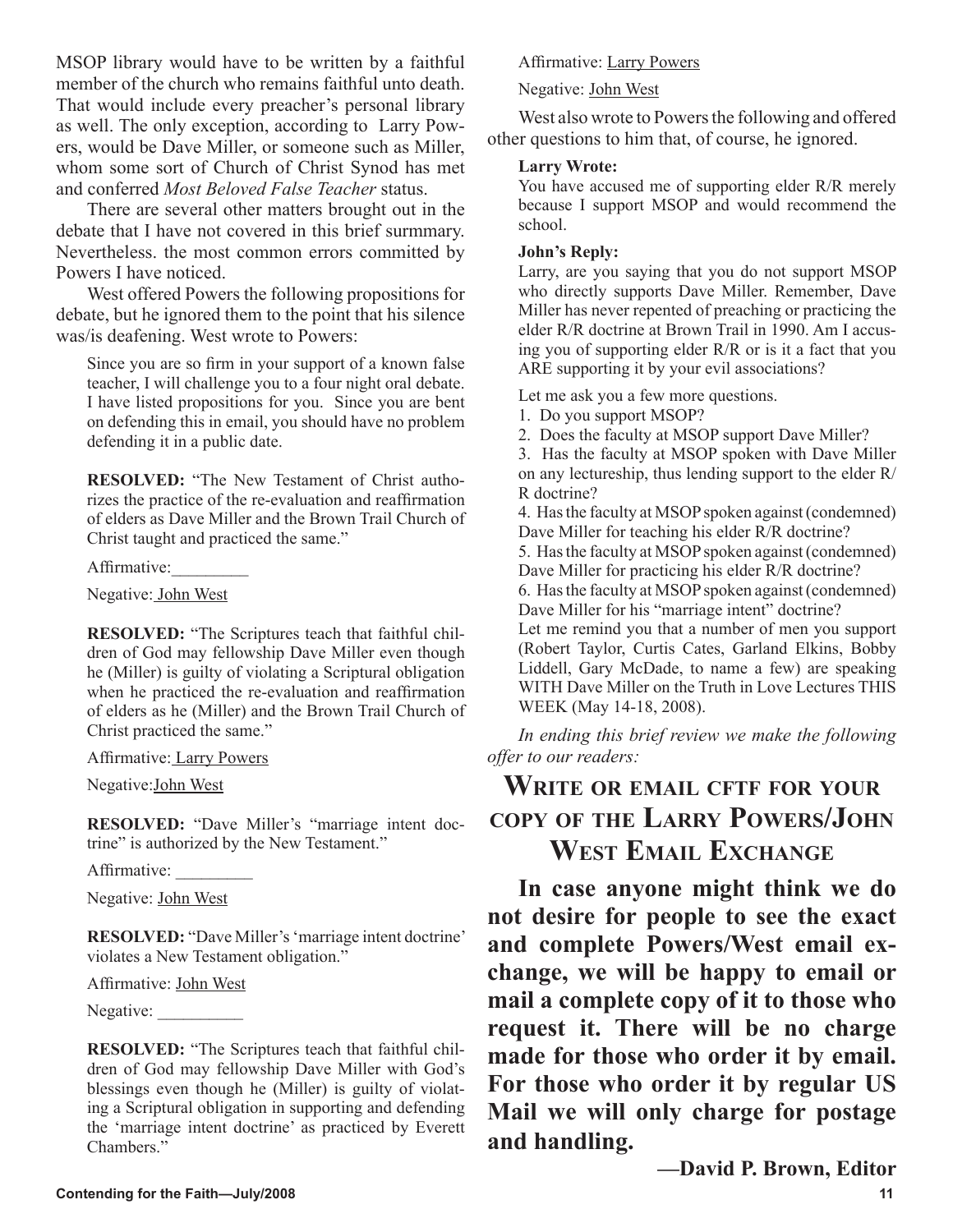MSOP library would have to be written by a faithful member of the church who remains faithful unto death. That would include every preacher's personal library as well. The only exception, according to Larry Powers, would be Dave Miller, or someone such as Miller, whom some sort of Church of Christ Synod has met and conferred *Most Beloved False Teacher* status.

There are several other matters brought out in the debate that I have not covered in this brief surmmary. Nevertheless. the most common errors committed by Powers I have noticed.

West offered Powers the following propositions for debate, but he ignored them to the point that his silence was/is deafening. West wrote to Powers:

Since you are so firm in your support of a known false teacher, I will challenge you to a four night oral debate. I have listed propositions for you. Since you are bent on defending this in email, you should have no problem defending it in a public date.

**RESOLVED:** "The New Testament of Christ authorizes the practice of the re-evaluation and reaffirmation of elders as Dave Miller and the Brown Trail Church of Christ taught and practiced the same."

Affirmative:\_\_\_\_\_\_\_\_\_

Negative: John West

**RESOLVED:** "The Scriptures teach that faithful children of God may fellowship Dave Miller even though he (Miller) is guilty of violating a Scriptural obligation when he practiced the re-evaluation and reaffirmation of elders as he (Miller) and the Brown Trail Church of Christ practiced the same."

Affirmative: Larry Powers

Negative:John West

**RESOLVED:** "Dave Miller's "marriage intent doctrine" is authorized by the New Testament."

Affirmative: \_\_\_\_\_\_\_\_\_

Negative: John West

**RESOLVED:** "Dave Miller's 'marriage intent doctrine' violates a New Testament obligation."

Affirmative: John West

Negative: \_\_\_\_\_\_\_\_

**RESOLVED:** "The Scriptures teach that faithful children of God may fellowship Dave Miller with God's blessings even though he (Miller) is guilty of violating a Scriptural obligation in supporting and defending the 'marriage intent doctrine' as practiced by Everett Chambers<sup>"</sup>

Affirmative: Larry Powers

Negative: John West

West also wrote to Powers the following and offered other questions to him that, of course, he ignored.

## **Larry Wrote:**

You have accused me of supporting elder R/R merely because I support MSOP and would recommend the school.

### **John's Reply:**

Larry, are you saying that you do not support MSOP who directly supports Dave Miller. Remember, Dave Miller has never repented of preaching or practicing the elder R/R doctrine at Brown Trail in 1990. Am I accusing you of supporting elder R/R or is it a fact that you ARE supporting it by your evil associations?

Let me ask you a few more questions.

- 1. Do you support MSOP?
- 2. Does the faculty at MSOP support Dave Miller?

3. Has the faculty at MSOP spoken with Dave Miller on any lectureship, thus lending support to the elder R/ R doctrine?

4. Has the faculty at MSOP spoken against (condemned) Dave Miller for teaching his elder R/R doctrine?

5. Has the faculty at MSOP spoken against (condemned) Dave Miller for practicing his elder R/R doctrine?

6. Has the faculty at MSOP spoken against (condemned) Dave Miller for his "marriage intent" doctrine?

Let me remind you that a number of men you support (Robert Taylor, Curtis Cates, Garland Elkins, Bobby Liddell, Gary McDade, to name a few) are speaking WITH Dave Miller on the Truth in Love Lectures THIS WEEK (May 14-18, 2008).

*In ending this brief review we make the following offer to our readers:*

## **WRITE OR EMAIL CFTF FOR YOUR COPY OF THE LARRY POWERS/JOHN WEST EMAIL EXCHANGE**

**In case anyone might think we do not desire for people to see the exact and complete Powers/West email exchange, we will be happy to email or mail a complete copy of it to those who request it. There will be no charge made for those who order it by email. For those who order it by regular US Mail we will only charge for postage and handling.** 

**—David P. Brown, Editor**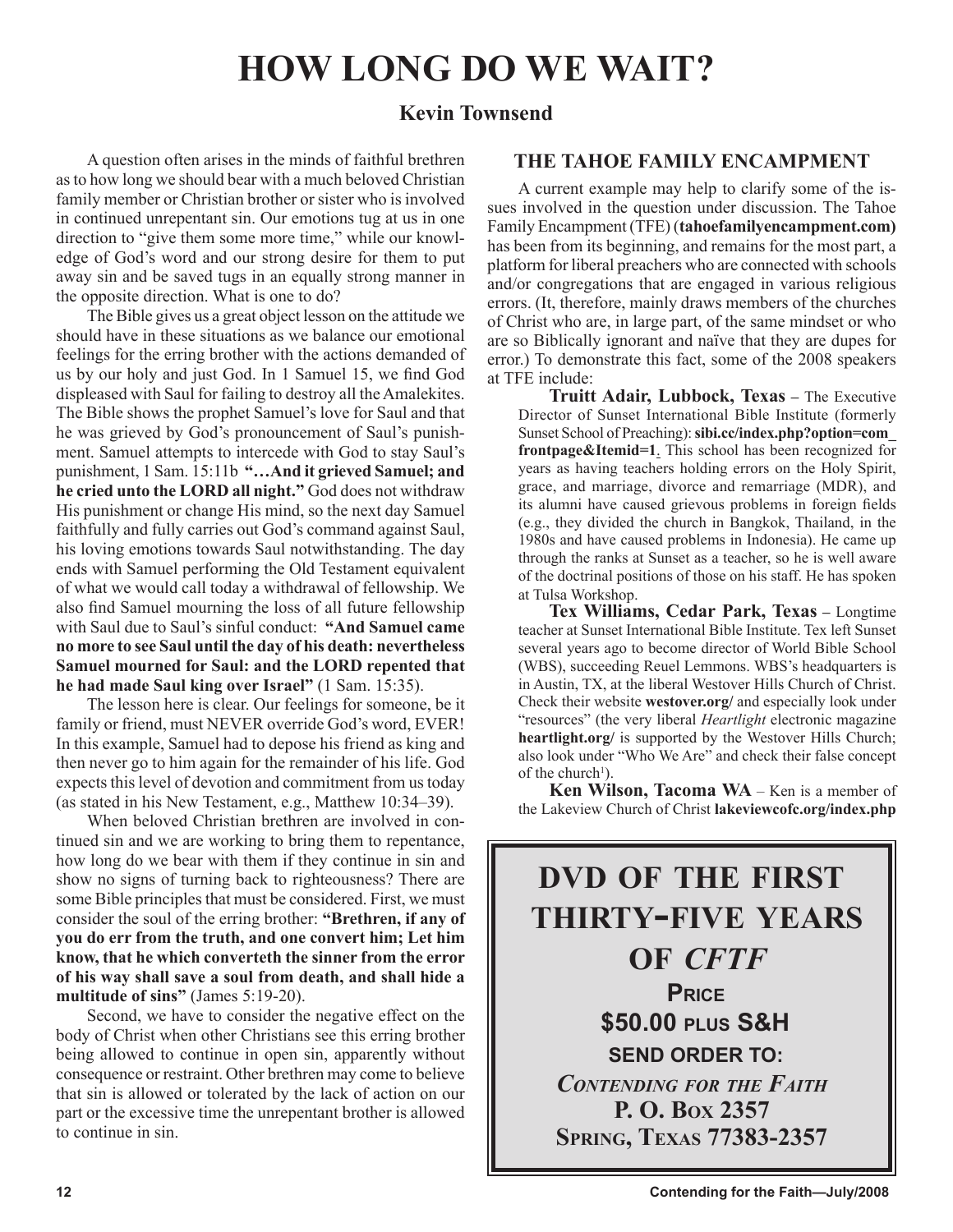## **HOW LONG DO WE WAIT?**

## **Kevin Townsend**

A question often arises in the minds of faithful brethren as to how long we should bear with a much beloved Christian family member or Christian brother or sister who is involved in continued unrepentant sin. Our emotions tug at us in one direction to "give them some more time," while our knowledge of God's word and our strong desire for them to put away sin and be saved tugs in an equally strong manner in the opposite direction. What is one to do?

The Bible gives us a great object lesson on the attitude we should have in these situations as we balance our emotional feelings for the erring brother with the actions demanded of us by our holy and just God. In 1 Samuel 15, we find God displeased with Saul for failing to destroy all the Amalekites. The Bible shows the prophet Samuel's love for Saul and that he was grieved by God's pronouncement of Saul's punishment. Samuel attempts to intercede with God to stay Saul's punishment, 1 Sam. 15:11b **"…And it grieved Samuel; and he cried unto the LORD all night."** God does not withdraw His punishment or change His mind, so the next day Samuel faithfully and fully carries out God's command against Saul, his loving emotions towards Saul notwithstanding. The day ends with Samuel performing the Old Testament equivalent of what we would call today a withdrawal of fellowship. We also find Samuel mourning the loss of all future fellowship with Saul due to Saul's sinful conduct: **"And Samuel came no more to see Saul until the day of his death: nevertheless Samuel mourned for Saul: and the LORD repented that he had made Saul king over Israel"** (1 Sam. 15:35).

The lesson here is clear. Our feelings for someone, be it family or friend, must NEVER override God's word, EVER! In this example, Samuel had to depose his friend as king and then never go to him again for the remainder of his life. God expects this level of devotion and commitment from us today (as stated in his New Testament, e.g., Matthew 10:34–39).

When beloved Christian brethren are involved in continued sin and we are working to bring them to repentance, how long do we bear with them if they continue in sin and show no signs of turning back to righteousness? There are some Bible principles that must be considered. First, we must consider the soul of the erring brother: **"Brethren, if any of you do err from the truth, and one convert him; Let him know, that he which converteth the sinner from the error of his way shall save a soul from death, and shall hide a multitude of sins"** (James 5:19-20).

Second, we have to consider the negative effect on the body of Christ when other Christians see this erring brother being allowed to continue in open sin, apparently without consequence or restraint. Other brethren may come to believe that sin is allowed or tolerated by the lack of action on our part or the excessive time the unrepentant brother is allowed to continue in sin.

## **THE TAHOE FAMILY ENCAMPMENT**

A current example may help to clarify some of the issues involved in the question under discussion. The Tahoe Family Encampment (TFE) (**tahoefamilyencampment.com)** has been from its beginning, and remains for the most part, a platform for liberal preachers who are connected with schools and/or congregations that are engaged in various religious errors. (It, therefore, mainly draws members of the churches of Christ who are, in large part, of the same mindset or who are so Biblically ignorant and naïve that they are dupes for error.) To demonstrate this fact, some of the 2008 speakers at TFE include:

**Truitt Adair, Lubbock, Texas – The Executive** Director of Sunset International Bible Institute (formerly Sunset School of Preaching): **sibi.cc/index.php?option=com\_ frontpage&Itemid=1**. This school has been recognized for years as having teachers holding errors on the Holy Spirit, grace, and marriage, divorce and remarriage (MDR), and its alumni have caused grievous problems in foreign fields (e.g., they divided the church in Bangkok, Thailand, in the 1980s and have caused problems in Indonesia). He came up through the ranks at Sunset as a teacher, so he is well aware of the doctrinal positions of those on his staff. He has spoken at Tulsa Workshop.

**Tex Williams, Cedar Park, Texas –** Longtime teacher at Sunset International Bible Institute. Tex left Sunset several years ago to become director of World Bible School (WBS), succeeding Reuel Lemmons. WBS's headquarters is in Austin, TX, at the liberal Westover Hills Church of Christ. Check their website **westover.org/** and especially look under "resources" (the very liberal *Heartlight* electronic magazine **heartlight.org/** is supported by the Westover Hills Church; also look under "Who We Are" and check their false concept of the church<sup>1</sup>).

**Ken Wilson, Tacoma WA** – Ken is a member of the Lakeview Church of Christ **lakeviewcofc.org/index.php**

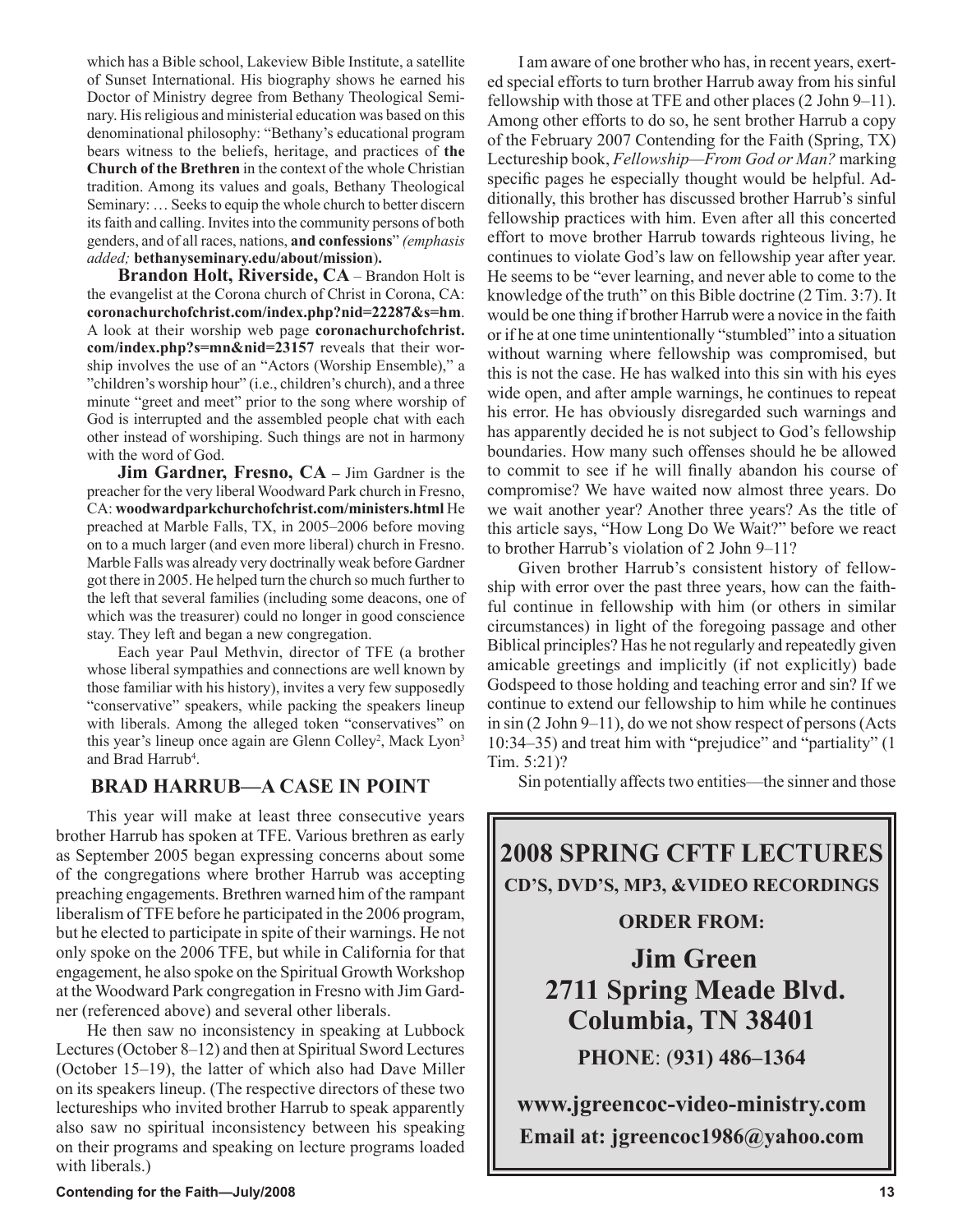which has a Bible school, Lakeview Bible Institute, a satellite of Sunset International. His biography shows he earned his Doctor of Ministry degree from Bethany Theological Seminary. His religious and ministerial education was based on this denominational philosophy: "Bethany's educational program bears witness to the beliefs, heritage, and practices of **the Church of the Brethren** in the context of the whole Christian tradition. Among its values and goals, Bethany Theological Seminary: … Seeks to equip the whole church to better discern its faith and calling. Invites into the community persons of both genders, and of all races, nations, **and confessions**" *(emphasis added;* **bethanyseminary.edu/about/mission**)**.**

**Brandon Holt, Riverside, CA** – Brandon Holt is the evangelist at the Corona church of Christ in Corona, CA: **coronachurchofchrist.com/index.php?nid=22287&s=hm**. A look at their worship web page **coronachurchofchrist. com/index.php?s=mn&nid=23157** reveals that their worship involves the use of an "Actors (Worship Ensemble)," a "children's worship hour" (i.e., children's church), and a three minute "greet and meet" prior to the song where worship of God is interrupted and the assembled people chat with each other instead of worshiping. Such things are not in harmony with the word of God.

**Jim Gardner, Fresno, CA –** Jim Gardner is the preacher for the very liberal Woodward Park church in Fresno, CA: **woodwardparkchurchofchrist.com/ministers.html** He preached at Marble Falls, TX, in 2005–2006 before moving on to a much larger (and even more liberal) church in Fresno. Marble Falls was already very doctrinally weak before Gardner got there in 2005. He helped turn the church so much further to the left that several families (including some deacons, one of which was the treasurer) could no longer in good conscience stay. They left and began a new congregation.

Each year Paul Methvin, director of TFE (a brother whose liberal sympathies and connections are well known by those familiar with his history), invites a very few supposedly "conservative" speakers, while packing the speakers lineup with liberals. Among the alleged token "conservatives" on this year's lineup once again are Glenn Colley<sup>2</sup>, Mack Lyon<sup>3</sup> and Brad Harrub<sup>4</sup>.

## **BRAD HARRUB—A CASE IN POINT**

This year will make at least three consecutive years brother Harrub has spoken at TFE. Various brethren as early as September 2005 began expressing concerns about some of the congregations where brother Harrub was accepting preaching engagements. Brethren warned him of the rampant liberalism of TFE before he participated in the 2006 program, but he elected to participate in spite of their warnings. He not only spoke on the 2006 TFE, but while in California for that engagement, he also spoke on the Spiritual Growth Workshop at the Woodward Park congregation in Fresno with Jim Gardner (referenced above) and several other liberals.

He then saw no inconsistency in speaking at Lubbock Lectures (October 8–12) and then at Spiritual Sword Lectures (October 15–19), the latter of which also had Dave Miller on its speakers lineup. (The respective directors of these two lectureships who invited brother Harrub to speak apparently also saw no spiritual inconsistency between his speaking on their programs and speaking on lecture programs loaded with liberals.)

I am aware of one brother who has, in recent years, exerted special efforts to turn brother Harrub away from his sinful fellowship with those at TFE and other places (2 John 9–11). Among other efforts to do so, he sent brother Harrub a copy of the February 2007 Contending for the Faith (Spring, TX) Lectureship book, *Fellowship—From God or Man?* marking specific pages he especially thought would be helpful. Additionally, this brother has discussed brother Harrub's sinful fellowship practices with him. Even after all this concerted effort to move brother Harrub towards righteous living, he continues to violate God's law on fellowship year after year. He seems to be "ever learning, and never able to come to the knowledge of the truth" on this Bible doctrine (2 Tim. 3:7). It would be one thing if brother Harrub were a novice in the faith or if he at one time unintentionally "stumbled" into a situation without warning where fellowship was compromised, but this is not the case. He has walked into this sin with his eyes wide open, and after ample warnings, he continues to repeat his error. He has obviously disregarded such warnings and has apparently decided he is not subject to God's fellowship boundaries. How many such offenses should he be allowed to commit to see if he will finally abandon his course of compromise? We have waited now almost three years. Do we wait another year? Another three years? As the title of this article says, "How Long Do We Wait?" before we react to brother Harrub's violation of 2 John 9–11?

Given brother Harrub's consistent history of fellowship with error over the past three years, how can the faithful continue in fellowship with him (or others in similar circumstances) in light of the foregoing passage and other Biblical principles? Has he not regularly and repeatedly given amicable greetings and implicitly (if not explicitly) bade Godspeed to those holding and teaching error and sin? If we continue to extend our fellowship to him while he continues in sin (2 John 9–11), do we not show respect of persons (Acts 10:34–35) and treat him with "prejudice" and "partiality" (1 Tim. 5:21)?

Sin potentially affects two entities—the sinner and those

**2008 SPRING CFTF LECTURES CD'S, DVD'S, MP3, &VIDEO RECORDINGS** 

## **ORDER FROM:**

**Jim Green 2711 Spring Meade Blvd. Columbia, TN 38401 PHONE**: (**931) 486–1364**

**www.jgreencoc-video-ministry.com Email at: jgreencoc1986@yahoo.com**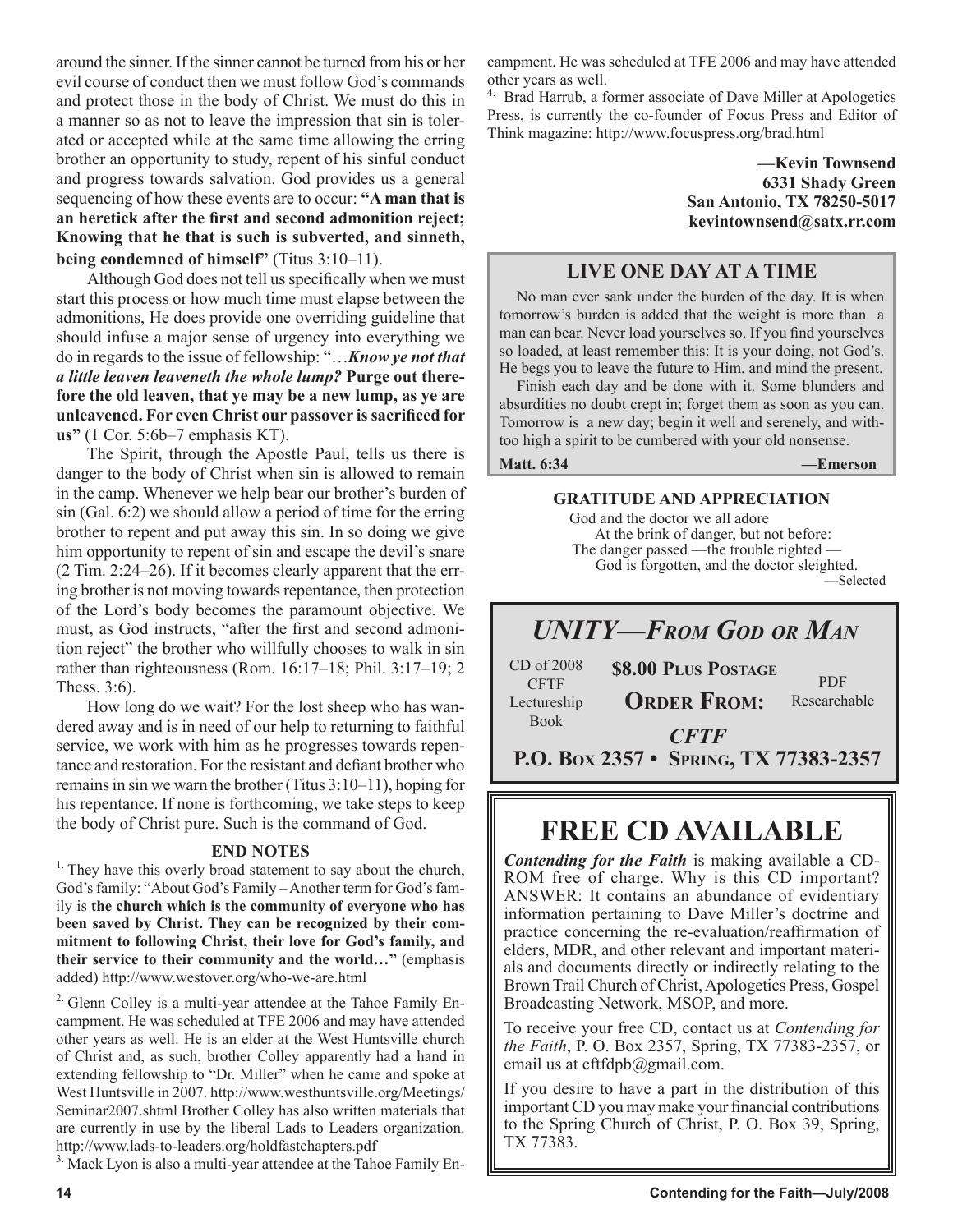around the sinner. If the sinner cannot be turned from his or her evil course of conduct then we must follow God's commands and protect those in the body of Christ. We must do this in a manner so as not to leave the impression that sin is tolerated or accepted while at the same time allowing the erring brother an opportunity to study, repent of his sinful conduct and progress towards salvation. God provides us a general sequencing of how these events are to occur: **"A man that is an heretick after the first and second admonition reject; Knowing that he that is such is subverted, and sinneth, being condemned of himself"** (Titus 3:10–11).

Although God does not tell us specifically when we must start this process or how much time must elapse between the admonitions, He does provide one overriding guideline that should infuse a major sense of urgency into everything we do in regards to the issue of fellowship: "…*Know ye not that a little leaven leaveneth the whole lump?* **Purge out therefore the old leaven, that ye may be a new lump, as ye are unleavened. For even Christ our passover issacrificed for us"** (1 Cor. 5:6b–7 emphasis KT).

The Spirit, through the Apostle Paul, tells us there is danger to the body of Christ when sin is allowed to remain in the camp. Whenever we help bear our brother's burden of sin (Gal. 6:2) we should allow a period of time for the erring brother to repent and put away this sin. In so doing we give him opportunity to repent of sin and escape the devil's snare (2 Tim. 2:24–26). If it becomes clearly apparent that the erring brother is not moving towards repentance, then protection of the Lord's body becomes the paramount objective. We must, as God instructs, "after the first and second admonition reject" the brother who willfully chooses to walk in sin rather than righteousness (Rom. 16:17–18; Phil. 3:17–19; 2 Thess. 3:6).

How long do we wait? For the lost sheep who has wandered away and is in need of our help to returning to faithful service, we work with him as he progresses towards repentance and restoration. For the resistant and defiant brother who remains in sin we warn the brother (Titus 3:10–11), hoping for his repentance. If none is forthcoming, we take steps to keep the body of Christ pure. Such is the command of God.

### **END NOTES**

<sup>1.</sup> They have this overly broad statement to say about the church, God's family: "About God's Family – Another term for God's family is **the church which is the community of everyone who has been saved by Christ. They can be recognized by their commitment to following Christ, their love for God's family, and their service to their community and the world…"** (emphasis added) http://www.westover.org/who-we-are.html

2. Glenn Colley is a multi-year attendee at the Tahoe Family Encampment. He was scheduled at TFE 2006 and may have attended other years as well. He is an elder at the West Huntsville church of Christ and, as such, brother Colley apparently had a hand in extending fellowship to "Dr. Miller" when he came and spoke at West Huntsville in 2007. http://www.westhuntsville.org/Meetings/ Seminar2007.shtml Brother Colley has also written materials that are currently in use by the liberal Lads to Leaders organization. http://www.lads-to-leaders.org/holdfastchapters.pdf

<sup>3.</sup> Mack Lyon is also a multi-year attendee at the Tahoe Family En-

campment. He was scheduled at TFE 2006 and may have attended other years as well.

<sup>4.</sup> Brad Harrub, a former associate of Dave Miller at Apologetics Press, is currently the co-founder of Focus Press and Editor of Think magazine: http://www.focuspress.org/brad.html

> **—Kevin Townsend 6331 Shady Green San Antonio, TX 78250-5017 kevintownsend@satx.rr.com**

## **LIVE ONE DAY AT A TIME**

No man ever sank under the burden of the day. It is when tomorrow's burden is added that the weight is more than a man can bear. Never load yourselves so. If you find yourselves so loaded, at least remember this: It is your doing, not God's. He begs you to leave the future to Him, and mind the present.

Finish each day and be done with it. Some blunders and absurdities no doubt crept in; forget them as soon as you can. Tomorrow is a new day; begin it well and serenely, and withtoo high a spirit to be cumbered with your old nonsense.

**Matt. 6:34 —Emerson**

#### **GRATITUDE AND APPRECIATION**

 God and the doctor we all adore At the brink of danger, but not before: The danger passed —the trouble righted — God is forgotten, and the doctor sleighted. —Selected

## *UNITY—FROM GOD OR MAN*

| $CD$ of $2008$<br><b>CFTF</b> | <b>\$8.00 PLUS POSTAGE</b>            | <b>PDF</b>   |
|-------------------------------|---------------------------------------|--------------|
| Lectureship                   | <b>ORDER FROM:</b>                    | Researchable |
| <b>Book</b>                   | <b>CFTF</b>                           |              |
|                               | P.O. Box 2357 • SPRING, TX 77383-2357 |              |

## **FREE CD AVAILABLE**

*Contending for the Faith* is making available a CD-ROM free of charge. Why is this CD important? ANSWER: It contains an abundance of evidentiary information pertaining to Dave Miller's doctrine and practice concerning the re-evaluation/reaffirmation of elders, MDR, and other relevant and important materials and documents directly or indirectly relating to the Brown Trail Church of Christ, Apologetics Press, Gospel Broadcasting Network, MSOP, and more.

To receive your free CD, contact us at *Contending for the Faith*, P. O. Box 2357, Spring, TX 77383-2357, or email us at cftfdpb@gmail.com.

If you desire to have a part in the distribution of this important CD you may make your financial contributions to the Spring Church of Christ, P. O. Box 39, Spring, TX 77383.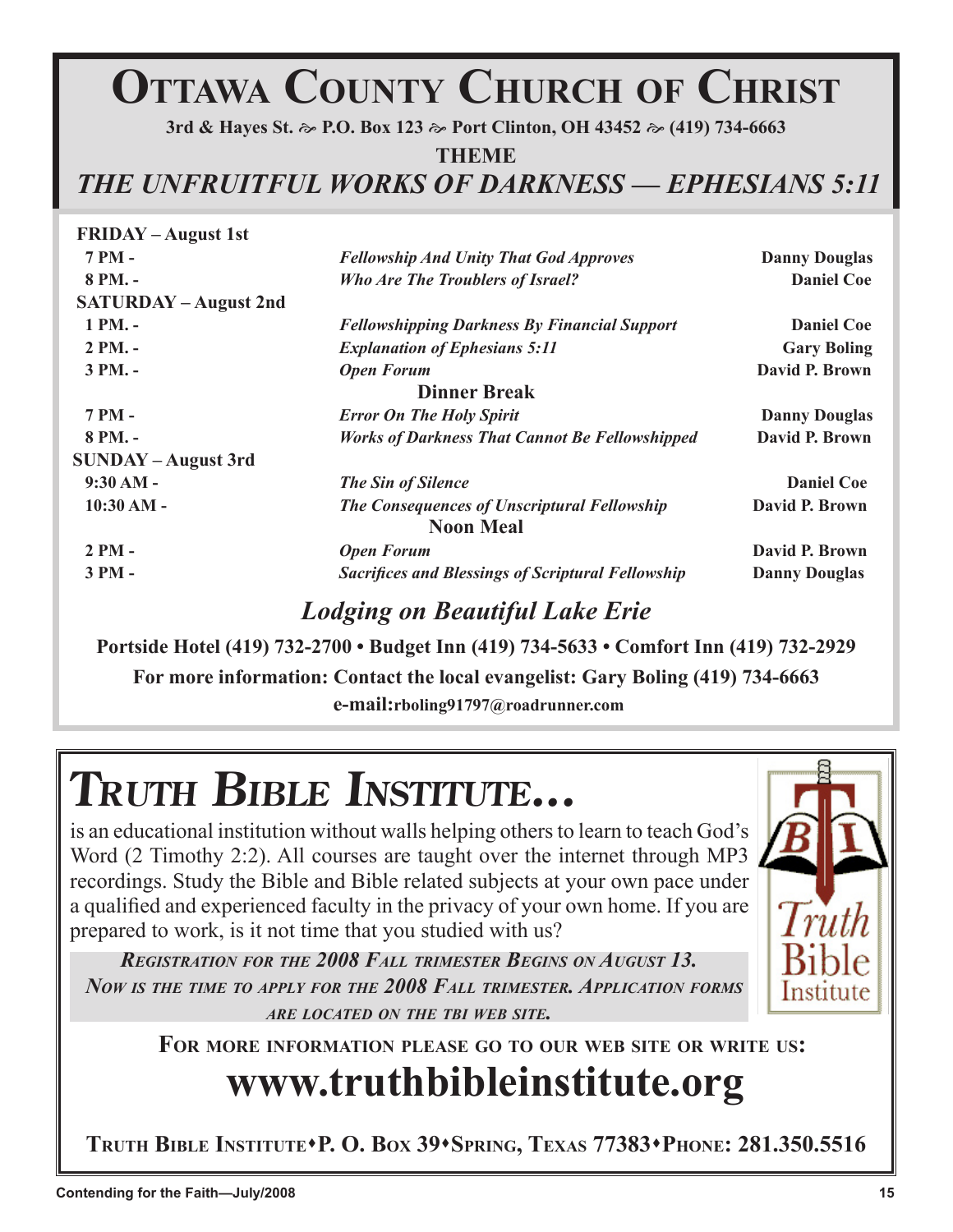# **OTTAWA COUNTY CHURCH OF CHRIST**

**Terry M. Hightower**

**3rd & Hayes St. P.O. Box 123 Port Clinton, OH 43452 (419) 734-6663**

**THEME**

*THE UNFRUITFUL WORKS OF DARKNESS* **—** *EPHESIANS 5:11*

| <b>FRIDAY</b> – August 1st   |                                                          |                      |
|------------------------------|----------------------------------------------------------|----------------------|
| 7 PM -                       | <b>Fellowship And Unity That God Approves</b>            | <b>Danny Douglas</b> |
| $8PM. -$                     | <b>Who Are The Troublers of Israel?</b>                  | <b>Daniel Coe</b>    |
| <b>SATURDAY - August 2nd</b> |                                                          |                      |
| 1 PM. -                      | <b>Fellowshipping Darkness By Financial Support</b>      | <b>Daniel Coe</b>    |
| $2 PM. -$                    | <b>Explanation of Ephesians 5:11</b>                     | <b>Gary Boling</b>   |
| 3 PM. -                      | <b>Open Forum</b>                                        | David P. Brown       |
|                              | <b>Dinner Break</b>                                      |                      |
| 7 PM -                       | <b>Error On The Holy Spirit</b>                          | <b>Danny Douglas</b> |
| 8 PM. -                      | <b>Works of Darkness That Cannot Be Fellowshipped</b>    | David P. Brown       |
| <b>SUNDAY - August 3rd</b>   |                                                          |                      |
| $9:30 AM -$                  | <b>The Sin of Silence</b>                                | <b>Daniel Coe</b>    |
| $10:30 AM -$                 | <b>The Consequences of Unscriptural Fellowship</b>       | David P. Brown       |
|                              | <b>Noon Meal</b>                                         |                      |
| $2PM -$                      | <b>Open Forum</b>                                        | David P. Brown       |
| 3 PM -                       | <b>Sacrifices and Blessings of Scriptural Fellowship</b> | <b>Danny Douglas</b> |
|                              |                                                          |                      |

## *Lodging on Beautiful Lake Erie*

**Portside Hotel (419) 732-2700 • Budget Inn (419) 734-5633 • Comfort Inn (419) 732-2929**

**For more information: Contact the local evangelist: Gary Boling (419) 734-6663** 

 **e-mail:rboling91797@roadrunner.com**

# **TRUTH BIBLE INSTITUTE...**

is an educational institution without walls helping others to learn to teach God's Word (2 Timothy 2:2). All courses are taught over the internet through MP3 recordings. Study the Bible and Bible related subjects at your own pace under a qualified and experienced faculty in the privacy of your own home. If you are prepared to work, is it not time that you studied with us?

*REGISTRATION FOR THE 2008 FALL TRIMESTER BEGINS ON AUGUST 13. NOW IS THE TIME TO APPLY FOR THE 2008 FALL TRIMESTER. APPLICATION FORMS ARE LOCATED ON THE TBI WEB SITE.*



**Paul Vaughn**

**FOR MORE INFORMATION PLEASE GO TO OUR WEB SITE OR WRITE US:**

# **www.truthbibleinstitute.org**

**TRUTH BIBLE INSTITUTEP. O. BOX 39SPRING, TEXAS 77383PHONE: 281.350.5516**